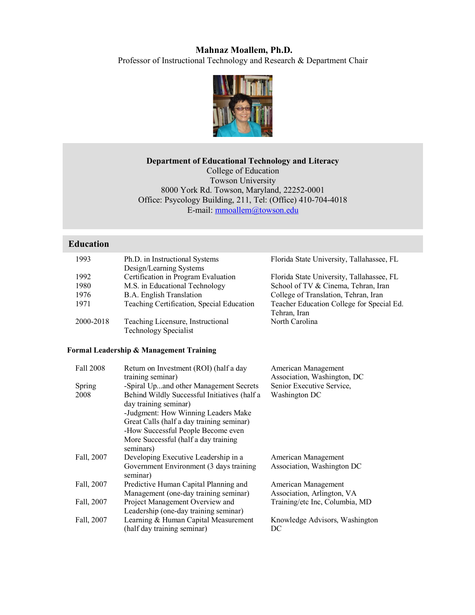# **Mahnaz Moallem, Ph.D.**

Professor of Instructional Technology and Research & Department Chair



# **Department of Educational Technology and Literacy**

College of Education Towson University 8000 York Rd. Towson, Maryland, 22252-0001 Office: Psycology Building, 211, Tel: (Office) 410-704-4018 E-mail: mmoallem@towson.edu

# **Education**

| 1993      | Ph.D. in Instructional Systems<br>Design/Learning Systems | Florida State University, Tallahassee, FL |
|-----------|-----------------------------------------------------------|-------------------------------------------|
|           |                                                           |                                           |
| 1992      | Certification in Program Evaluation                       | Florida State University, Tallahassee, FL |
| 1980      | M.S. in Educational Technology                            | School of TV & Cinema, Tehran, Iran       |
| 1976      | <b>B.A.</b> English Translation                           | College of Translation, Tehran, Iran      |
| 1971      | Teaching Certification, Special Education                 | Teacher Education College for Special Ed. |
|           |                                                           | Tehran, Iran                              |
| 2000-2018 | Teaching Licensure, Instructional                         | North Carolina                            |
|           | <b>Technology Specialist</b>                              |                                           |

# **Formal Leadership & Management Training**

| Fall 2008  | Return on Investment (ROI) (half a day<br>training seminar)                                                                                                                                                                             | American Management<br>Association, Washington, DC |
|------------|-----------------------------------------------------------------------------------------------------------------------------------------------------------------------------------------------------------------------------------------|----------------------------------------------------|
| Spring     | -Spiral Upand other Management Secrets                                                                                                                                                                                                  | Senior Executive Service,                          |
| 2008       | Behind Wildly Successful Initiatives (half a<br>day training seminar)<br>-Judgment: How Winning Leaders Make<br>Great Calls (half a day training seminar)<br>-How Successful People Become even<br>More Successful (half a day training | Washington DC                                      |
| Fall, 2007 | seminars)<br>Developing Executive Leadership in a                                                                                                                                                                                       | American Management                                |
|            | Government Environment (3 days training<br>seminar)                                                                                                                                                                                     | Association, Washington DC                         |
| Fall, 2007 | Predictive Human Capital Planning and<br>Management (one-day training seminar)                                                                                                                                                          | American Management<br>Association, Arlington, VA  |
| Fall, 2007 | Project Management Overview and<br>Leadership (one-day training seminar)                                                                                                                                                                | Training/etc Inc, Columbia, MD                     |
| Fall, 2007 | Learning & Human Capital Measurement<br>(half day training seminar)                                                                                                                                                                     | Knowledge Advisors, Washington<br>DC               |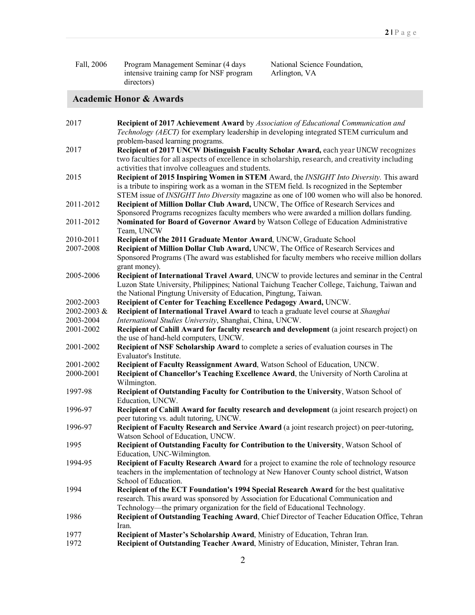| Fall, 2006 | Program Management Seminar (4 days      |
|------------|-----------------------------------------|
|            | intensive training camp for NSF program |
|            | directors)                              |

National Science Foundation, Arlington, VA

# **Academic Honor & Awards**

| 2017        | <b>Recipient of 2017 Achievement Award</b> by Association of Educational Communication and         |
|-------------|----------------------------------------------------------------------------------------------------|
|             | Technology (AECT) for exemplary leadership in developing integrated STEM curriculum and            |
|             | problem-based learning programs.                                                                   |
| 2017        | Recipient of 2017 UNCW Distinguish Faculty Scholar Award, each year UNCW recognizes                |
|             | two faculties for all aspects of excellence in scholarship, research, and creativity including     |
|             | activities that involve colleagues and students.                                                   |
| 2015        | Recipient of 2015 Inspiring Women in STEM Award, the INSIGHT Into Diversity. This award            |
|             | is a tribute to inspiring work as a woman in the STEM field. Is recognized in the September        |
|             | STEM issue of <i>INSIGHT Into Diversity</i> magazine as one of 100 women who will also be honored. |
| 2011-2012   | Recipient of Million Dollar Club Award, UNCW, The Office of Research Services and                  |
|             | Sponsored Programs recognizes faculty members who were awarded a million dollars funding.          |
| 2011-2012   | Nominated for Board of Governor Award by Watson College of Education Administrative                |
|             | Team, UNCW                                                                                         |
| 2010-2011   | Recipient of the 2011 Graduate Mentor Award, UNCW, Graduate School                                 |
| 2007-2008   | Recipient of Million Dollar Club Award, UNCW, The Office of Research Services and                  |
|             | Sponsored Programs (The award was established for faculty members who receive million dollars      |
|             | grant money).                                                                                      |
| 2005-2006   | Recipient of International Travel Award, UNCW to provide lectures and seminar in the Central       |
|             | Luzon State University, Philippines; National Taichung Teacher College, Taichung, Taiwan and       |
|             | the National Pingtung University of Education, Pingtung, Taiwan.                                   |
| 2002-2003   | Recipient of Center for Teaching Excellence Pedagogy Award, UNCW.                                  |
| 2002-2003 & | Recipient of International Travel Award to teach a graduate level course at Shanghai               |
| 2003-2004   | International Studies University, Shanghai, China, UNCW.                                           |
| 2001-2002   | Recipient of Cahill Award for faculty research and development (a joint research project) on       |
|             | the use of hand-held computers, UNCW.                                                              |
| 2001-2002   | Recipient of NSF Scholarship Award to complete a series of evaluation courses in The               |
|             | Evaluator's Institute.                                                                             |
| 2001-2002   | Recipient of Faculty Reassignment Award, Watson School of Education, UNCW.                         |
| 2000-2001   | Recipient of Chancellor's Teaching Excellence Award, the University of North Carolina at           |
|             | Wilmington.                                                                                        |
| 1997-98     | Recipient of Outstanding Faculty for Contribution to the University, Watson School of              |
|             | Education, UNCW.                                                                                   |
| 1996-97     | Recipient of Cahill Award for faculty research and development (a joint research project) on       |
|             | peer tutoring vs. adult tutoring, UNCW.                                                            |
| 1996-97     | Recipient of Faculty Research and Service Award (a joint research project) on peer-tutoring,       |
|             | Watson School of Education, UNCW.                                                                  |
| 1995        | Recipient of Outstanding Faculty for Contribution to the University, Watson School of              |
|             | Education, UNC-Wilmington.                                                                         |
| 1994-95     | Recipient of Faculty Research Award for a project to examine the role of technology resource       |
|             | teachers in the implementation of technology at New Hanover County school district, Watson         |
|             | School of Education.                                                                               |
| 1994        | <b>Recipient of the ECT Foundation's 1994 Special Research Award for the best qualitative</b>      |
|             | research. This award was sponsored by Association for Educational Communication and                |
|             | Technology—the primary organization for the field of Educational Technology.                       |
| 1986        | Recipient of Outstanding Teaching Award, Chief Director of Teacher Education Office, Tehran        |
|             | Iran.                                                                                              |
| 1977        | Recipient of Master's Scholarship Award, Ministry of Education, Tehran Iran.                       |
| 1972        | Recipient of Outstanding Teacher Award, Ministry of Education, Minister, Tehran Iran.              |
|             |                                                                                                    |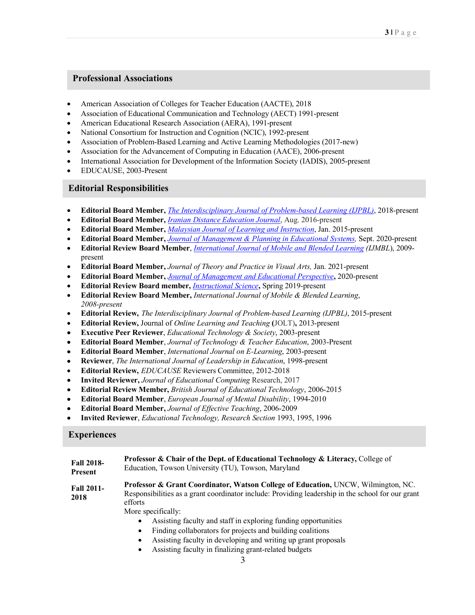# **Professional Associations**

- American Association of Colleges for Teacher Education (AACTE), 2018
- Association of Educational Communication and Technology (AECT) 1991-present
- American Educational Research Association (AERA), 1991-present
- National Consortium for Instruction and Cognition (NCIC), 1992-present
- Association of Problem-Based Learning and Active Learning Methodologies (2017-new)
- Association for the Advancement of Computing in Education (AACE), 2006-present
- International Association for Development of the Information Society (IADIS), 2005-present
- EDUCAUSE, 2003-Present

# • **Editorial Responsibilities**

- **Editorial Board Member,** *The Interdisciplinary Journal of Problem-based Learning (IJPBL)*, 2018-present
- **Editorial Board Member,** *Iranian Distance Education Journal*, Aug. 2016-present
- **Editorial Board Member,** *Malaysian Journal of Learning and Instruction*, Jan. 2015-present
- **Editorial Board Member,** *Journal of Management & Planning in Educational Systems,* Sept. 2020-present
- **Editorial Review Board Member**, *International Journal of Mobile and Blended Learning (IJMBL*), 2009 present
- **Editorial Board Member,** *Journal of Theory and Practice in Visual Arts,* Jan. 2021-present
- **Editorial Board Member,** *Journal of Management and Educational Perspective***,** 2020-present
- **Editorial Review Board member,** *Instructional Science***,** Spring 2019-present
- **Editorial Review Board Member,** *International Journal of Mobile & Blended Learning*, *2008-present*
- **Editorial Review,** *The Interdisciplinary Journal of Problem-based Learning (IJPBL)*, 2015-present
- **Editorial Review,** Journal of *Online Learning and Teaching* **(**JOLT)**,** 2013-present
- **Executive Peer Reviewer**, *Educational Technology & Society*, 2003-present
- **Editorial Board Member**, *Journal of Technology & Teacher Education*, 2003-Present
- **Editorial Board Member**, *International Journal on E-Learning*, 2003-present
- **Reviewer**, *The International Journal of Leadership in Education*, 1998-present
- **Editorial Review,** *EDUCAUSE* Reviewers Committee, 2012-2018
- **Invited Reviewer,** *Journal of Educational Computing* Research, 2017
- **Editorial Review Member,** *British Journal of Educational Technology*, 2006-2015
- **Editorial Board Member**, *European Journal of Mental Disability*, 1994-2010
- **Editorial Board Member,** *Journal of Effective Teaching*, 2006-2009
- **Invited Reviewer**, *Educational Technology, Research Section* 1993, 1995, 1996

# **Experiences**

| <b>Fall 2018-</b>         | Professor & Chair of the Dept. of Educational Technology & Literacy, College of                                                                                                                                                                                                                                                                                                                                                                                                                                        |
|---------------------------|------------------------------------------------------------------------------------------------------------------------------------------------------------------------------------------------------------------------------------------------------------------------------------------------------------------------------------------------------------------------------------------------------------------------------------------------------------------------------------------------------------------------|
| Present                   | Education, Towson University (TU), Towson, Maryland                                                                                                                                                                                                                                                                                                                                                                                                                                                                    |
| <b>Fall 2011-</b><br>2018 | Professor & Grant Coordinator, Watson College of Education, UNCW, Wilmington, NC.<br>Responsibilities as a grant coordinator include: Providing leadership in the school for our grant<br>efforts<br>More specifically:<br>Assisting faculty and staff in exploring funding opportunities<br>$\bullet$<br>Finding collaborators for projects and building coalitions<br>$\bullet$<br>Assisting faculty in developing and writing up grant proposals<br>٠<br>Assisting faculty in finalizing grant-related budgets<br>٠ |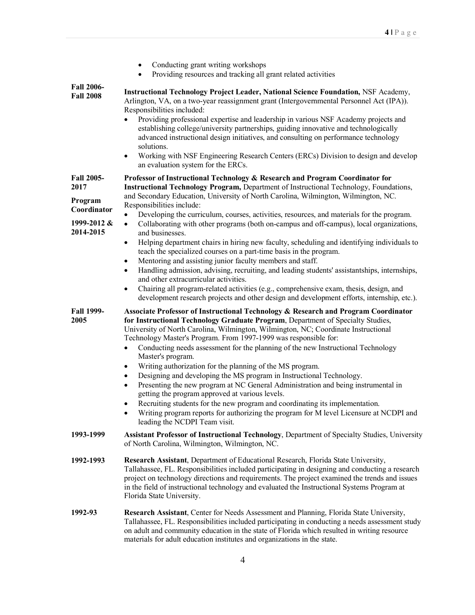|                                                                                 | Conducting grant writing workshops<br>$\bullet$<br>Providing resources and tracking all grant related activities<br>$\bullet$                                                                                                                                                                                                                                                                                                                                                                                                                                                                                                                                                                                                                                                                                                                                                                                                                                                                                                                                                                                                                               |
|---------------------------------------------------------------------------------|-------------------------------------------------------------------------------------------------------------------------------------------------------------------------------------------------------------------------------------------------------------------------------------------------------------------------------------------------------------------------------------------------------------------------------------------------------------------------------------------------------------------------------------------------------------------------------------------------------------------------------------------------------------------------------------------------------------------------------------------------------------------------------------------------------------------------------------------------------------------------------------------------------------------------------------------------------------------------------------------------------------------------------------------------------------------------------------------------------------------------------------------------------------|
| <b>Fall 2006-</b><br><b>Fall 2008</b>                                           | <b>Instructional Technology Project Leader, National Science Foundation, NSF Academy,</b><br>Arlington, VA, on a two-year reassignment grant (Intergovernmental Personnel Act (IPA)).<br>Responsibilities included:<br>Providing professional expertise and leadership in various NSF Academy projects and<br>$\bullet$<br>establishing college/university partnerships, guiding innovative and technologically<br>advanced instructional design initiatives, and consulting on performance technology<br>solutions.<br>Working with NSF Engineering Research Centers (ERCs) Division to design and develop<br>$\bullet$<br>an evaluation system for the ERCs.                                                                                                                                                                                                                                                                                                                                                                                                                                                                                              |
| <b>Fall 2005-</b><br>2017<br>Program<br>Coordinator<br>1999-2012 &<br>2014-2015 | Professor of Instructional Technology & Research and Program Coordinator for<br><b>Instructional Technology Program, Department of Instructional Technology, Foundations,</b><br>and Secondary Education, University of North Carolina, Wilmington, Wilmington, NC.<br>Responsibilities include:<br>Developing the curriculum, courses, activities, resources, and materials for the program.<br>$\bullet$<br>Collaborating with other programs (both on-campus and off-campus), local organizations,<br>$\bullet$<br>and businesses.<br>Helping department chairs in hiring new faculty, scheduling and identifying individuals to<br>$\bullet$<br>teach the specialized courses on a part-time basis in the program.<br>Mentoring and assisting junior faculty members and staff.<br>$\bullet$<br>Handling admission, advising, recruiting, and leading students' assistantships, internships,<br>$\bullet$<br>and other extracurricular activities.<br>Chairing all program-related activities (e.g., comprehensive exam, thesis, design, and<br>$\bullet$<br>development research projects and other design and development efforts, internship, etc.). |
| <b>Fall 1999-</b><br>2005                                                       | Associate Professor of Instructional Technology & Research and Program Coordinator<br>for Instructional Technology Graduate Program, Department of Specialty Studies,<br>University of North Carolina, Wilmington, Wilmington, NC; Coordinate Instructional<br>Technology Master's Program. From 1997-1999 was responsible for:<br>Conducting needs assessment for the planning of the new Instructional Technology<br>$\bullet$<br>Master's program.<br>Writing authorization for the planning of the MS program.<br>٠<br>Designing and developing the MS program in Instructional Technology.<br>$\bullet$<br>Presenting the new program at NC General Administration and being instrumental in<br>$\bullet$<br>getting the program approved at various levels.<br>Recruiting students for the new program and coordinating its implementation.<br>٠<br>Writing program reports for authorizing the program for M level Licensure at NCDPI and<br>٠<br>leading the NCDPI Team visit.                                                                                                                                                                      |
| 1993-1999                                                                       | Assistant Professor of Instructional Technology, Department of Specialty Studies, University<br>of North Carolina, Wilmington, Wilmington, NC.                                                                                                                                                                                                                                                                                                                                                                                                                                                                                                                                                                                                                                                                                                                                                                                                                                                                                                                                                                                                              |
| 1992-1993                                                                       | Research Assistant, Department of Educational Research, Florida State University,<br>Tallahassee, FL. Responsibilities included participating in designing and conducting a research<br>project on technology directions and requirements. The project examined the trends and issues<br>in the field of instructional technology and evaluated the Instructional Systems Program at<br>Florida State University.                                                                                                                                                                                                                                                                                                                                                                                                                                                                                                                                                                                                                                                                                                                                           |
| 1992-93                                                                         | Research Assistant, Center for Needs Assessment and Planning, Florida State University,<br>Tallahassee, FL. Responsibilities included participating in conducting a needs assessment study<br>on adult and community education in the state of Florida which resulted in writing resource<br>materials for adult education institutes and organizations in the state.                                                                                                                                                                                                                                                                                                                                                                                                                                                                                                                                                                                                                                                                                                                                                                                       |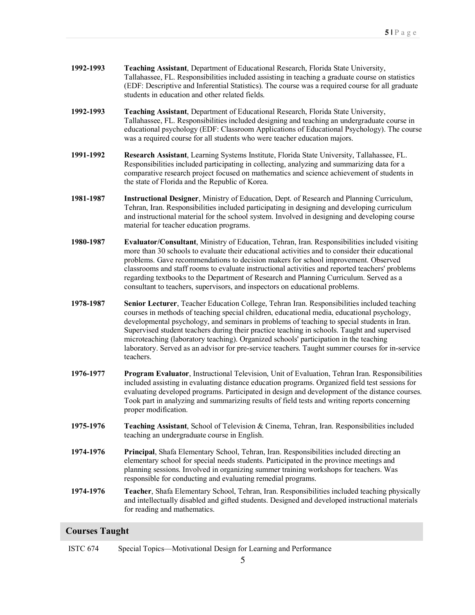- **1992-1993 Teaching Assistant**, Department of Educational Research, Florida State University, Tallahassee, FL. Responsibilities included assisting in teaching a graduate course on statistics (EDF: Descriptive and Inferential Statistics). The course was a required course for all graduate students in education and other related fields.
- **1992-1993 Teaching Assistant**, Department of Educational Research, Florida State University, Tallahassee, FL. Responsibilities included designing and teaching an undergraduate course in educational psychology (EDF: Classroom Applications of Educational Psychology). The course was a required course for all students who were teacher education majors.
- **1991-1992 Research Assistant**, Learning Systems Institute, Florida State University, Tallahassee, FL. Responsibilities included participating in collecting, analyzing and summarizing data for a comparative research project focused on mathematics and science achievement of students in the state of Florida and the Republic of Korea.
- **1981-1987 Instructional Designer**, Ministry of Education, Dept. of Research and Planning Curriculum, Tehran, Iran. Responsibilities included participating in designing and developing curriculum and instructional material for the school system. Involved in designing and developing course material for teacher education programs.
- **1980-1987 Evaluator/Consultant**, Ministry of Education, Tehran, Iran. Responsibilities included visiting more than 30 schools to evaluate their educational activities and to consider their educational problems. Gave recommendations to decision makers for school improvement. Observed classrooms and staff rooms to evaluate instructional activities and reported teachers' problems regarding textbooks to the Department of Research and Planning Curriculum. Served as a consultant to teachers, supervisors, and inspectors on educational problems.
- **1978-1987 Senior Lecturer**, Teacher Education College, Tehran Iran. Responsibilities included teaching courses in methods of teaching special children, educational media, educational psychology, developmental psychology, and seminars in problems of teaching to special students in Iran. Supervised student teachers during their practice teaching in schools. Taught and supervised microteaching (laboratory teaching). Organized schools' participation in the teaching laboratory. Served as an advisor for pre-service teachers. Taught summer courses for in-service teachers.
- **1976-1977 Program Evaluator**, Instructional Television, Unit of Evaluation, Tehran Iran. Responsibilities included assisting in evaluating distance education programs. Organized field test sessions for evaluating developed programs. Participated in design and development of the distance courses. Took part in analyzing and summarizing results of field tests and writing reports concerning proper modification.
- **1975-1976 Teaching Assistant**, School of Television & Cinema, Tehran, Iran. Responsibilities included teaching an undergraduate course in English.
- **1974-1976 Principal**, Shafa Elementary School, Tehran, Iran. Responsibilities included directing an elementary school for special needs students. Participated in the province meetings and planning sessions. Involved in organizing summer training workshops for teachers. Was responsible for conducting and evaluating remedial programs.
- **1974-1976 Teacher**, Shafa Elementary School, Tehran, Iran. Responsibilities included teaching physically and intellectually disabled and gifted students. Designed and developed instructional materials for reading and mathematics.

# **Courses Taught**

ISTC 674 Special Topics—Motivational Design for Learning and Performance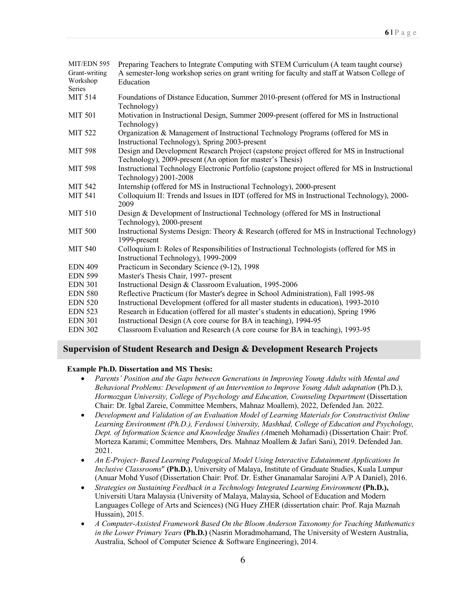| MIT/EDN 595    | Preparing Teachers to Integrate Computing with STEM Curriculum (A team taught course)           |
|----------------|-------------------------------------------------------------------------------------------------|
| Grant-writing  | A semester-long workshop series on grant writing for faculty and staff at Watson College of     |
| Workshop       | Education                                                                                       |
| Series         |                                                                                                 |
| <b>MIT 514</b> | Foundations of Distance Education, Summer 2010-present (offered for MS in Instructional         |
|                | Technology)                                                                                     |
| <b>MIT 501</b> | Motivation in Instructional Design, Summer 2009-present (offered for MS in Instructional        |
|                | Technology)                                                                                     |
| MIT 522        | Organization & Management of Instructional Technology Programs (offered for MS in               |
|                | Instructional Technology), Spring 2003-present                                                  |
| <b>MIT 598</b> | Design and Development Research Project (capstone project offered for MS in Instructional       |
|                | Technology), 2009-present (An option for master's Thesis)                                       |
| <b>MIT 598</b> | Instructional Technology Electronic Portfolio (capstone project offered for MS in Instructional |
|                | Technology) 2001-2008                                                                           |
| <b>MIT 542</b> | Internship (offered for MS in Instructional Technology), 2000-present                           |
| <b>MIT 541</b> | Colloquium II: Trends and Issues in IDT (offered for MS in Instructional Technology), 2000-     |
|                | 2009                                                                                            |
| <b>MIT 510</b> | Design & Development of Instructional Technology (offered for MS in Instructional               |
|                | Technology), 2000-present                                                                       |
| <b>MIT 500</b> | Instructional Systems Design: Theory & Research (offered for MS in Instructional Technology)    |
|                | 1999-present                                                                                    |
| <b>MIT 540</b> | Colloquium I: Roles of Responsibilities of Instructional Technologists (offered for MS in       |
|                | Instructional Technology), 1999-2009                                                            |
| <b>EDN 409</b> | Practicum in Secondary Science (9-12), 1998                                                     |
| <b>EDN 599</b> | Master's Thesis Chair, 1997- present                                                            |
| <b>EDN 301</b> | Instructional Design & Classroom Evaluation, 1995-2006                                          |
| <b>EDN 580</b> | Reflective Practicum (for Master's degree in School Administration), Fall 1995-98               |
| <b>EDN 520</b> | Instructional Development (offered for all master students in education), 1993-2010             |
| <b>EDN 523</b> | Research in Education (offered for all master's students in education), Spring 1996             |
| <b>EDN 301</b> | Instructional Design (A core course for BA in teaching), 1994-95                                |
| <b>EDN 302</b> | Classroom Evaluation and Research (A core course for BA in teaching), 1993-95                   |
|                |                                                                                                 |

## **Supervision of Student Research and Design & Development Research Projects**

#### **Example Ph.D. Dissertation and MS Thesis:**

- *Parents' Position and the Gaps between Generations in Improving Young Adults with Mental and Behavioral Problems: Development of an Intervention to Improve Young Adult adaptation* (Ph.D.), *Hormozgan University, College of Psychology and Education, Counseling Department* (Dissertation Chair: Dr. Igbal Zareie, Committee Members, Mahnaz Moallem), 2022, Defended Jan. 2022.
- *Development and Validation of an Evaluation Model of Learning Materials for Constructivist Online Learning Environment (Ph.D.), Ferdowsi University, Mashhad, College of Education and Psychology, Dept. of Information Science and Knowledge Studies (A*meneh Mohamadi) (Dissertation Chair: Prof. Morteza Karami; Committee Members, Drs. Mahnaz Moallem & Jafari Sani), 2019. Defended Jan. 2021.
- *An E-Project- Based Learning Pedagogical Model Using Interactive Edutainment Applications In Inclusive Classrooms*" **(Ph.D.)**, University of Malaya, Institute of Graduate Studies, Kuala Lumpur (Anuar Mohd Yusof (Dissertation Chair: Prof. Dr. Esther Gnanamalar Sarojini A/P A Daniel), 2016.
- *Strategies on Sustaining Feedback in a Technology Integrated Learning Environment* **(Ph.D.),**  Universiti Utara Malaysia (University of Malaya, Malaysia, School of Education and Modern Languages College of Arts and Sciences) (NG Huey ZHER (dissertation chair: Prof. Raja Maznah Hussain), 2015.
- *A Computer-Assisted Framework Based On the Bloom Anderson Taxonomy for Teaching Mathematics in the Lower Primary Years* **(Ph.D.)** (Nasrin Moradmohamand, The University of Western Australia, Australia, School of Computer Science & Software Engineering), 2014.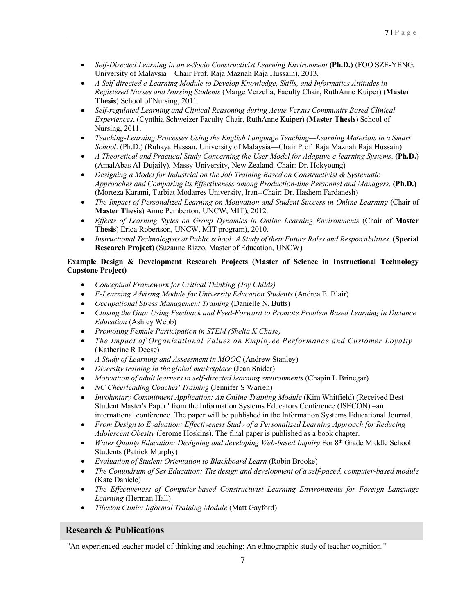- *Self-Directed Learning in an e-Socio Constructivist Learning Environment* (Ph.D.) (FOO SZE-YENG, University of Malaysia—Chair Prof. Raja Maznah Raja Hussain), 2013.
- *A Self-directed e-Learning Module to Develop Knowledge, Skills, and Informatics Attitudes in Registered Nurses and Nursing Students* (Marge Verzella, Faculty Chair, RuthAnne Kuiper) (**Master Thesis**) School of Nursing, 2011.
- *Self-regulated Learning and Clinical Reasoning during Acute Versus Community Based Clinical Experiences*, (Cynthia Schweizer Faculty Chair, RuthAnne Kuiper) (**Master Thesis**) School of Nursing, 2011.
- *Teaching-Learning Processes Using the English Language Teaching—Learning Materials in a Smart School*. (Ph.D.) (Ruhaya Hassan, University of Malaysia—Chair Prof. Raja Maznah Raja Hussain)
- *A Theoretical and Practical Study Concerning the User Model for Adaptive e-learning Systems*. **(Ph.D.)** (AmalAbas Al-Dujaily), Massy University, New Zealand. Chair: Dr. Hokyoung)
- *Designing a Model for Industrial on the Job Training Based on Constructivist & Systematic Approaches and Comparing its Effectiveness among Production-line Personnel and Managers.* **(Ph.D.)** (Morteza Karami, Tarbiat Modarres University, Iran--Chair: Dr. Hashem Fardanesh)
- *The Impact of Personalized Learning on Motivation and Student Success in Online Learning (Chair of* **Master Thesis**) Anne Pemberton, UNCW, MIT), 2012.
- *Effects of Learning Styles on Group Dynamics in Online Learning Environments* (Chair of **Master Thesis**) Erica Robertson, UNCW, MIT program), 2010.
- *Instructional Technologists at Public school: A Study of their Future Roles and Responsibilities*. **(Special Research Project**) (Suzanne Rizzo, Master of Education, UNCW)

# **Example Design & Development Research Projects (Master of Science in Instructional Technology Capstone Project)**

- *Conceptual Framework for Critical Thinking (Joy Childs)*
- *E-Learning Advising Module for University Education Students* (Andrea E. Blair)
- *Occupational Stress Management Training* (Danielle N. Butts)
- *Closing the Gap: Using Feedback and Feed-Forward to Promote Problem Based Learning in Distance Education* (Ashley Webb)
- *Promoting Female Participation in STEM (Shelia K Chase)*
- *The Impact of Organizational Values on Employee Performance and Customer Loyalty*  (Katherine R Deese)
- *A Study of Learning and Assessment in MOOC* (Andrew Stanley)
- *Diversity training in the global marketplace* (Jean Snider)
- *Motivation of adult learners in self-directed learning environments* (Chapin L Brinegar)
- *NC Cheerleading Coaches' Training* (Jennifer S Warren)
- *Involuntary Commitment Application: An Online Training Module* (Kim Whitfield) (Received Best Student Master's Paper" from the Information Systems Educators Conference (ISECON) –an international conference. The paper will be published in the Information Systems Educational Journal.
- *From Design to Evaluation: Effectiveness Study of a Personalized Learning Approach for Reducing Adolescent Obesity* (Jerome Hoskins). The final paper is published as a book chapter.
- *Water Quality Education: Designing and developing Web-based Inquiry* For 8<sup>th</sup> Grade Middle School Students (Patrick Murphy)
- *Evaluation of Student Orientation to Blackboard Learn* (Robin Brooke)
- *The Conundrum of Sex Education: The design and development of a self-paced, computer-based module* (Kate Daniele)
- *The Effectiveness of Computer-based Constructivist Learning Environments for Foreign Language Learning* (Herman Hall)
- *Tileston Clinic: Informal Training Module* (Matt Gayford)

# **Research & Publications**

"An experienced teacher model of thinking and teaching: An ethnographic study of teacher cognition."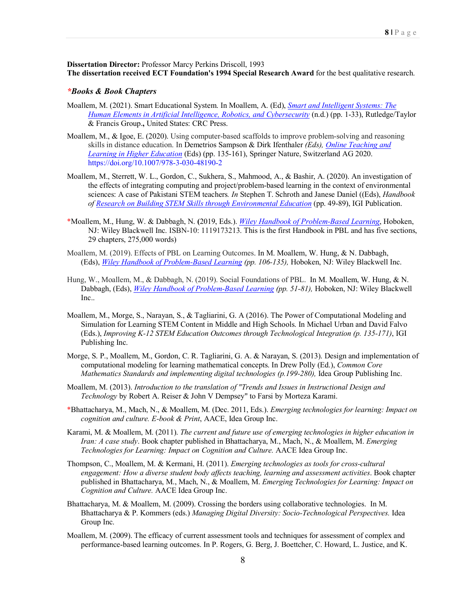**Dissertation Director:** Professor Marcy Perkins Driscoll, 1993 **The dissertation received ECT Foundation's 1994 Special Research Award** for the best qualitative research.

#### *\*Books & Book Chapters*

- Moallem, M. (2021). Smart Educational System. In Moallem, A. (Ed), *Smart and Intelligent Systems: The Human Elements in Artificial Intelligence, Robotics, and Cybersecurity* (n.d.) (pp. 1-33), Rutledge/Taylor & Francis Group.**,** United States: CRC Press.
- Moallem, M., & Igoe, E. (2020). Using computer-based scaffolds to improve problem-solving and reasoning skills in distance education. In Demetrios Sampson & Dirk Ifenthaler *(Eds), Online Teaching and Learning in Higher Education* (Eds) (pp. 135-161), Springer Nature, Switzerland AG 2020. https://doi.org/10.1007/978-3-030-48190-2
- Moallem, M., Sterrett, W. L., Gordon, C., Sukhera, S., Mahmood, A., & Bashir, A. (2020). An investigation of the effects of integrating computing and project/problem-based learning in the context of environmental sciences: A case of Pakistani STEM teachers*. In* Stephen T. Schroth and Janese Daniel ((Eds), *Handbook of Research on Building STEM Skills through Environmental Education* (pp. 49-89), IGI Publication.
- \*Moallem, M., Hung, W. & Dabbagh, N. **(**2019, Eds.). *Wiley Handbook of Problem-Based Learning*, Hoboken, NJ: Wiley Blackwell Inc. ISBN-10: 1119173213. This is the first Handbook in PBL and has five sections, 29 chapters, 275,000 words)
- Moallem, M. (2019). Effects of PBL on Learning Outcomes. In M. Moallem, W. Hung, & N. Dabbagh, (Eds), *Wiley Handbook of Problem-Based Learning (pp. 106-135),* Hoboken, NJ: Wiley Blackwell Inc.
- Hung, W., Moallem, M., & Dabbagh, N. (2019). Social Foundations of PBL. In M. Moallem, W. Hung, & N. Dabbagh, (Eds), *Wiley Handbook of Problem-Based Learning (pp. 51-81),* Hoboken, NJ: Wiley Blackwell Inc..
- Moallem, M., Morge, S., Narayan, S., & Tagliarini, G. A (2016). The Power of Computational Modeling and Simulation for Learning STEM Content in Middle and High Schools. In Michael Urban and David Falvo (Eds.), *Improving K-12 STEM Education Outcomes through Technological Integration (p. 135-171)*, IGI Publishing Inc.
- Morge, S. P., Moallem, M., Gordon, C. R. Tagliarini, G. A. & Narayan, S. (2013). Design and implementation of computational modeling for learning mathematical concepts. In Drew Polly (Ed.), *Common Core Mathematics Standards and implementing digital technologies (p.199-280),* Idea Group Publishing Inc.
- Moallem, M. (2013). *Introduction to the translation of "Trends and Issues in Instructional Design and Technology* by Robert A. Reiser & John V Dempsey" to Farsi by Morteza Karami.
- \*Bhattacharya, M., Mach, N., & Moallem, M. (Dec. 2011, Eds.). *Emerging technologies for learning: Impact on cognition and culture. E-book & Print*, AACE, Idea Group Inc.
- Karami, M. & Moallem, M. (2011). *The current and future use of emerging technologies in higher education in Iran: A case study*. Book chapter published in Bhattacharya, M., Mach, N., & Moallem, M. *Emerging Technologies for Learning: Impact on Cognition and Culture.* AACE Idea Group Inc.
- Thompson, C., Moallem, M. & Kermani, H. (2011). *Emerging technologies as tools for cross-cultural engagement: How a diverse student body affects teaching, learning and assessment activities*. Book chapter published in Bhattacharya, M., Mach, N., & Moallem, M. *Emerging Technologies for Learning: Impact on Cognition and Culture.* AACE Idea Group Inc.
- Bhattacharya, M. & Moallem, M. (2009). Crossing the borders using collaborative technologies. In M. Bhattacharya & P. Kommers (eds.) *Managing Digital Diversity: Socio-Technological Perspectives.* Idea Group Inc.
- Moallem, M. (2009). The efficacy of current assessment tools and techniques for assessment of complex and performance-based learning outcomes. In P. Rogers, G. Berg, J. Boettcher, C. Howard, L. Justice, and K.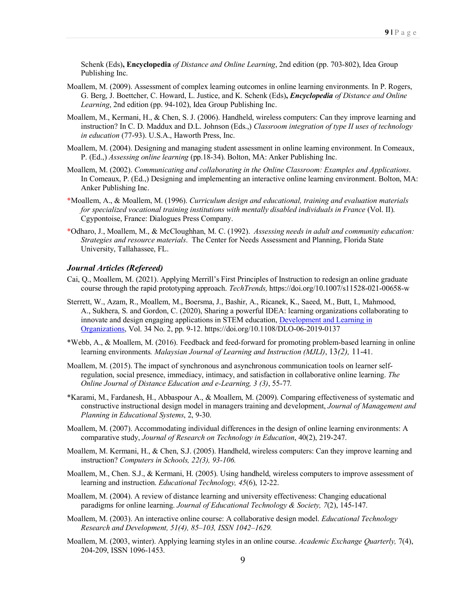Schenk (Eds)**, Encyclopedia** *of Distance and Online Learning*, 2nd edition (pp. 703-802), Idea Group Publishing Inc.

- Moallem, M. (2009). Assessment of complex learning outcomes in online learning environments. In P. Rogers, G. Berg, J. Boettcher, C. Howard, L. Justice, and K. Schenk (Eds)**,** *Encyclopedia of Distance and Online Learning*, 2nd edition (pp. 94-102), Idea Group Publishing Inc.
- Moallem, M., Kermani, H., & Chen, S. J. (2006). Handheld, wireless computers: Can they improve learning and instruction? In C. D. Maddux and D.L. Johnson (Eds.,) *Classroom integration of type II uses of technology in education* (77-93). U.S.A., Haworth Press, Inc.
- Moallem, M. (2004). Designing and managing student assessment in online learning environment. In Comeaux, P. (Ed.,) *Assessing online learning* (pp.18-34). Bolton, MA: Anker Publishing Inc.
- Moallem, M. (2002). *Communicating and collaborating in the Online Classroom: Examples and Applications*. In Comeaux, P. (Ed.,) Designing and implementing an interactive online learning environment. Bolton, MA: Anker Publishing Inc.
- \*Moallem, A., & Moallem, M. (1996). *Curriculum design and educational, training and evaluation materials for specialized vocational training institutions with mentally disabled individuals in France* (Vol. II). Cgypontoise, France: Dialogues Press Company.
- \*Odharo, J., Moallem, M., & McCloughhan, M. C. (1992). *Assessing needs in adult and community education: Strategies and resource materials*. The Center for Needs Assessment and Planning, Florida State University, Tallahassee, FL.

#### *Journal Articles (Refereed)*

- Cai, Q., Moallem, M. (2021). Applying Merrill's First Principles of Instruction to redesign an online graduate course through the rapid prototyping approach. *TechTrends,* https://doi.org/10.1007/s11528-021-00658-w
- Sterrett, W., Azam, R., Moallem, M., Boersma, J., Bashir, A., Ricanek, K., Saeed, M., Butt, I., Mahmood, A., Sukhera, S. and Gordon, C. (2020), Sharing a powerful IDEA: learning organizations collaborating to innovate and design engaging applications in STEM education, Development and Learning in Organizations, Vol. 34 No. 2, pp. 9-12. https://doi.org/10.1108/DLO-06-2019-0137
- \*Webb, A., & Moallem, M. (2016). Feedback and feed-forward for promoting problem-based learning in online learning environments*. Malaysian Journal of Learning and Instruction (MJLI)*, 13*(2),* 11-41.
- Moallem, M. (2015). The impact of synchronous and asynchronous communication tools on learner selfregulation, social presence, immediacy, intimacy, and satisfaction in collaborative online learning. *The Online Journal of Distance Education and e-Learning, 3 (3)*, 55-77*.*
- \*Karami, M., Fardanesh, H., Abbaspour A., & Moallem, M. (2009). Comparing effectiveness of systematic and constructive instructional design model in managers training and development, *Journal of Management and Planning in Educational Systems*, 2, 9-30.
- Moallem, M. (2007). Accommodating individual differences in the design of online learning environments: A comparative study, *Journal of Research on Technology in Education*, 40(2), 219-247.
- Moallem, M. Kermani, H., & Chen, S.J. (2005). Handheld, wireless computers: Can they improve learning and instruction? *Computers in Schools, 22(3), 93-106.*
- Moallem, M., Chen. S.J., & Kermani, H. (2005). Using handheld, wireless computers to improve assessment of learning and instruction. *Educational Technology, 45*(6), 12-22.
- Moallem, M. (2004). A review of distance learning and university effectiveness: Changing educational paradigms for online learning. *Journal of Educational Technology & Society, 7*(2), 145-147.
- Moallem, M. (2003). An interactive online course: A collaborative design model. *Educational Technology Research and Development, 51(4), 85–103, ISSN 1042–1629.*
- Moallem, M. (2003, winter). Applying learning styles in an online course. *Academic Exchange Quarterly,* 7(4), 204-209, ISSN 1096-1453.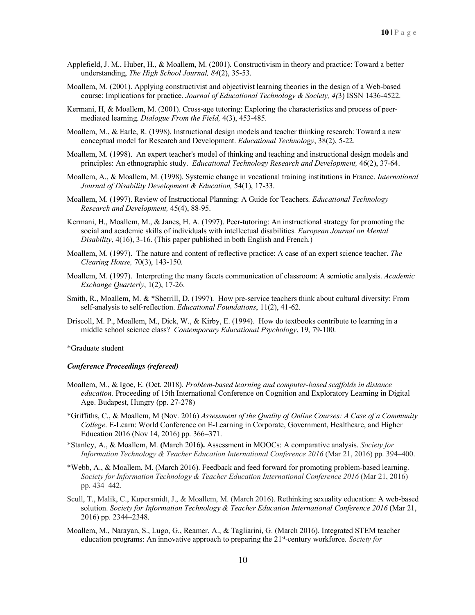- Applefield, J. M., Huber, H., & Moallem, M. (2001). Constructivism in theory and practice: Toward a better understanding, *The High School Journal, 84*(2), 35-53.
- Moallem, M. (2001). Applying constructivist and objectivist learning theories in the design of a Web-based course: Implications for practice. *Journal of Educational Technology & Society, 4(*3) ISSN 1436-4522.
- Kermani, H, & Moallem, M. (2001). Cross-age tutoring: Exploring the characteristics and process of peermediated learning. *Dialogue From the Field,* 4(3), 453-485.
- Moallem, M., & Earle, R. (1998). Instructional design models and teacher thinking research: Toward a new conceptual model for Research and Development. *Educational Technology*, 38(2), 5-22.
- Moallem, M. (1998). An expert teacher's model of thinking and teaching and instructional design models and principles: An ethnographic study. *Educational Technology Research and Development,* 46(2), 37-64.
- Moallem, A., & Moallem, M. (1998). Systemic change in vocational training institutions in France. *International Journal of Disability Development & Education,* 54(1), 17-33.
- Moallem, M. (1997). Review of Instructional Planning: A Guide for Teachers*. Educational Technology Research and Development,* 45(4), 88-95.
- Kermani, H., Moallem, M., & Janes, H. A. (1997). Peer-tutoring: An instructional strategy for promoting the social and academic skills of individuals with intellectual disabilities. *European Journal on Mental Disability*, 4(16), 3-16. (This paper published in both English and French.)
- Moallem, M. (1997). The nature and content of reflective practice: A case of an expert science teacher. *The Clearing House,* 70(3), 143-150.
- Moallem, M. (1997). Interpreting the many facets communication of classroom: A semiotic analysis. *Academic Exchange Quarterly*, 1(2), 17-26.
- Smith, R., Moallem, M. & \*Sherrill, D. (1997). How pre-service teachers think about cultural diversity: From self-analysis to self-reflection. *Educational Foundations*, 11(2), 41-62.
- Driscoll, M. P., Moallem, M., Dick, W., & Kirby, E. (1994). How do textbooks contribute to learning in a middle school science class? *Contemporary Educational Psychology*, 19, 79-100.

\*Graduate student

#### *Conference Proceedings (refereed)*

- Moallem, M., & Igoe, E. (Oct. 2018). *Problem-based learning and computer-based scaffolds in distance education.* Proceeding of 15th International Conference on Cognition and Exploratory Learning in Digital Age. Budapest, Hungry (pp. 27-278)
- \*Griffiths, C., & Moallem, M (Nov. 2016) *Assessment of the Quality of Online Courses: A Case of a Community College*. E-Learn: World Conference on E-Learning in Corporate, Government, Healthcare, and Higher Education 2016 (Nov 14, 2016) pp. 366–371.
- \*Stanley, A., & Moallem, M. **(**March 2016**).** Assessment in MOOCs: A comparative analysis. *Society for Information Technology & Teacher Education International Conference 2016 (Mar 21, 2016) pp. 394–400.*
- \*Webb, A., & Moallem, M. (March 2016). Feedback and feed forward for promoting problem-based learning. *Society for Information Technology & Teacher Education International Conference 2016* (Mar 21, 2016) pp. 434–442.
- Scull, T., Malik, C., Kupersmidt, J., & Moallem, M. (March 2016). Rethinking sexuality education: A web-based solution. *Society for Information Technology & Teacher Education International Conference 2016* (Mar 21, 2016) pp. 2344–2348.
- Moallem, M., Narayan, S., Lugo, G., Reamer, A., & Tagliarini, G. (March 2016). Integrated STEM teacher education programs: An innovative approach to preparing the 21st-century workforce. *Society for*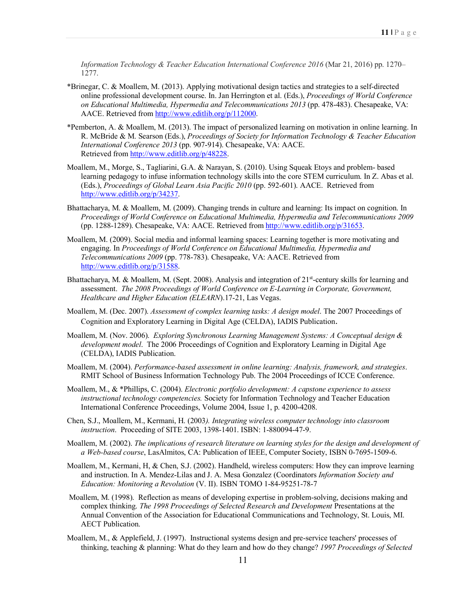*Information Technology & Teacher Education International Conference 2016* (Mar 21, 2016) pp. 1270– 1277.

- \*Brinegar, C. & Moallem, M. (2013). Applying motivational design tactics and strategies to a self-directed online professional development course. In. Jan Herrington et al. (Eds.), *Proceedings of World Conference on Educational Multimedia, Hypermedia and Telecommunications 2013* (pp. 478-483). Chesapeake, VA: AACE. Retrieved from http://www.editlib.org/p/112000.
- \*Pemberton, A. & Moallem, M. (2013). The impact of personalized learning on motivation in online learning. In R. McBride & M. Searson (Eds.), *Proceedings of Society for Information Technology & Teacher Education International Conference 2013* (pp. 907-914). Chesapeake, VA: AACE. Retrieved from http://www.editlib.org/p/48228.
- Moallem, M., Morge, S., Tagliarini, G.A. & Narayan, S. (2010). Using Squeak Etoys and problem- based learning pedagogy to infuse information technology skills into the core STEM curriculum. In Z. Abas et al. (Eds.), *Proceedings of Global Learn Asia Pacific 2010* (pp. 592-601). AACE. Retrieved from http://www.editlib.org/p/34237.
- Bhattacharya, M. & Moallem, M. (2009). Changing trends in culture and learning: Its impact on cognition. In *Proceedings of World Conference on Educational Multimedia, Hypermedia and Telecommunications 2009* (pp. 1288-1289). Chesapeake, VA: AACE. Retrieved from http://www.editlib.org/p/31653.
- Moallem, M. (2009). Social media and informal learning spaces: Learning together is more motivating and engaging. In *Proceedings of World Conference on Educational Multimedia, Hypermedia and Telecommunications 2009* (pp. 778-783). Chesapeake, VA: AACE. Retrieved from http://www.editlib.org/p/31588.
- Bhattacharya, M. & Moallem, M. (Sept. 2008). Analysis and integration of 21<sup>st</sup>-century skills for learning and assessment. *The 2008 Proceedings of World Conference on E-Learning in Corporate, Government, Healthcare and Higher Education (ELEARN*).17-21, Las Vegas.
- Moallem, M. (Dec. 2007). *Assessment of complex learning tasks: A design model*. The 2007 Proceedings of Cognition and Exploratory Learning in Digital Age (CELDA), IADIS Publication.
- Moallem, M. (Nov. 2006). *Exploring Synchronous Learning Management Systems: A Conceptual design & development model*. The 2006 Proceedings of Cognition and Exploratory Learning in Digital Age (CELDA), IADIS Publication.
- Moallem, M. (2004). *Performance-based assessment in online learning: Analysis, framework, and strategies*. RMIT School of Business Information Technology Pub. The 2004 Proceedings of ICCE Conference.
- Moallem, M., & \*Phillips, C. (2004). *Electronic portfolio development: A capstone experience to assess instructional technology competencies.* Society for Information Technology and Teacher Education International Conference Proceedings, Volume 2004, Issue 1, p. 4200-4208.
- Chen, S.J., Moallem, M., Kermani, H. (2003*). Integrating wireless computer technology into classroom instruction*. Proceeding of SITE 2003, 1398-1401. ISBN: 1-880094-47-9.
- Moallem, M. (2002). *The implications of research literature on learning styles for the design and development of a Web-based course*, LasAlmitos, CA: Publication of IEEE, Computer Society, ISBN 0-7695-1509-6.
- Moallem, M., Kermani, H, & Chen, S.J. (2002). Handheld, wireless computers: How they can improve learning and instruction. In A. Mendez-Lilas and J. A. Mesa Gonzalez (Coordinators *Information Society and Education: Monitoring a Revolution* (V. II). ISBN TOMO 1-84-95251-78-7
- Moallem, M. (1998). Reflection as means of developing expertise in problem-solving, decisions making and complex thinking. *The 1998 Proceedings of Selected Research and Development* Presentations at the Annual Convention of the Association for Educational Communications and Technology, St. Louis, MI. AECT Publication.
- Moallem, M., & Applefield, J. (1997). Instructional systems design and pre-service teachers' processes of thinking, teaching & planning: What do they learn and how do they change? *1997 Proceedings of Selected*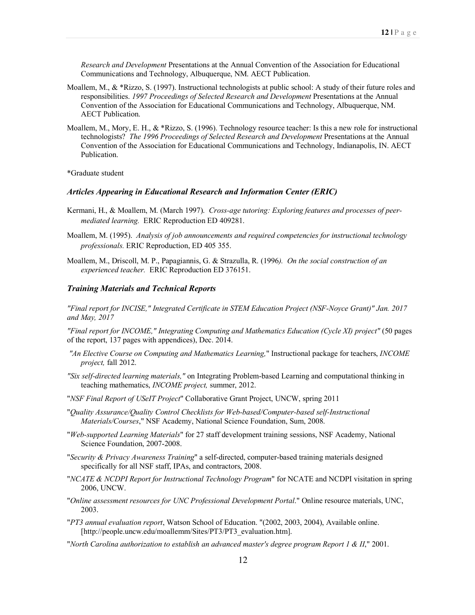*Research and Development* Presentations at the Annual Convention of the Association for Educational Communications and Technology, Albuquerque, NM. AECT Publication.

- Moallem, M., & \*Rizzo, S. (1997). Instructional technologists at public school: A study of their future roles and responsibilities. *1997 Proceedings of Selected Research and Development* Presentations at the Annual Convention of the Association for Educational Communications and Technology, Albuquerque, NM. AECT Publication.
- Moallem, M., Mory, E. H., & \*Rizzo, S. (1996). Technology resource teacher: Is this a new role for instructional technologists? *The 1996 Proceedings of Selected Research and Development* Presentations at the Annual Convention of the Association for Educational Communications and Technology, Indianapolis, IN. AECT Publication.

\*Graduate student

#### *Articles Appearing in Educational Research and Information Center (ERIC)*

- Kermani, H., & Moallem, M. (March 1997). *Cross-age tutoring: Exploring features and processes of peermediated learning.* ERIC Reproduction ED 409281.
- Moallem, M. (1995). *Analysis of job announcements and required competencies for instructional technology professionals.* ERIC Reproduction, ED 405 355.
- Moallem, M., Driscoll, M. P., Papagiannis, G. & Strazulla, R. (1996*). On the social construction of an experienced teacher.* ERIC Reproduction ED 376151.

#### *Training Materials and Technical Reports*

*"Final report for INCISE," Integrated Certificate in STEM Education Project (NSF-Noyce Grant)" Jan. 2017 and May, 2017*

*"Final report for INCOME," Integrating Computing and Mathematics Education (Cycle XI) project"* (50 pages of the report, 137 pages with appendices), Dec. 2014.

- *"An Elective Course on Computing and Mathematics Learning,*" Instructional package for teachers, *INCOME project,* fall 2012.
- *"Six self-directed learning materials,"* on Integrating Problem-based Learning and computational thinking in teaching mathematics, *INCOME project,* summer, 2012.
- "*NSF Final Report of USeIT Project*" Collaborative Grant Project, UNCW, spring 2011
- "*Quality Assurance/Quality Control Checklists for Web-based/Computer-based self-Instructional Materials/Courses*," NSF Academy, National Science Foundation, Sum, 2008.
- "*Web-supported Learning Materials*" for 27 staff development training sessions, NSF Academy, National Science Foundation, 2007-2008.
- "*Security & Privacy Awareness Training*" a self-directed, computer-based training materials designed specifically for all NSF staff, IPAs, and contractors, 2008.
- "*NCATE & NCDPI Report for Instructional Technology Program*" for NCATE and NCDPI visitation in spring 2006, UNCW.
- "*Online assessment resources for UNC Professional Development Portal*." Online resource materials, UNC, 2003.
- "*PT3 annual evaluation report*, Watson School of Education. "(2002, 2003, 2004), Available online. [http://people.uncw.edu/moallemm/Sites/PT3/PT3\_evaluation.htm].
- "*North Carolina authorization to establish an advanced master's degree program Report 1 & II*," 2001.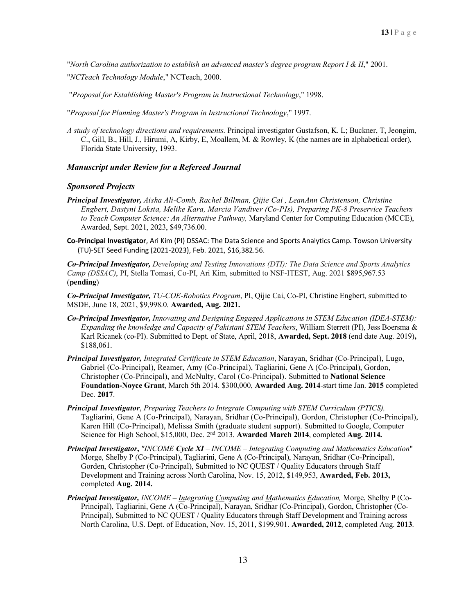"*North Carolina authorization to establish an advanced master's degree program Report I & II*," 2001.

"*NCTeach Technology Module*," NCTeach, 2000.

"*Proposal for Establishing Master's Program in Instructional Technology*," 1998.

"*Proposal for Planning Master's Program in Instructional Technology*," 1997.

*A study of technology directions and requirements*. Principal investigator Gustafson, K. L; Buckner, T, Jeongim, C., Gill, B., Hill, J., Hirumi, A, Kirby, E, Moallem, M. & Rowley, K (the names are in alphabetical order), Florida State University, 1993.

#### *Manuscript under Review for a Refereed Journal*

#### *Sponsored Projects*

- *Principal Investigator, Aisha Ali-Comb, Rachel Billman, Qijie Cai , LeanAnn Christenson, Christine Engbert, Dastyni Loksta, Melike Kara, Marcia Vandiver (Co-PIs), Preparing PK-8 Preservice Teachers to Teach Computer Science: An Alternative Pathway,* Maryland Center for Computing Education (MCCE), Awarded, Sept. 2021, 2023, \$49,736.00.
- **Co-Principal Investigator**, Ari Kim (PI) DSSAC: The Data Science and Sports Analytics Camp. Towson University (TU)-SET Seed Funding (2021-2023), Feb. 2021, \$16,382.56.

*Co-Principal Investigator, Developing and Testing Innovations (DTI): The Data Science and Sports Analytics Camp (DSSAC)*, PI, Stella Tomasi, Co-PI, Ari Kim, submitted to NSF-ITEST, Aug. 2021 \$895,967.53 (**pending**)

*Co-Principal Investigator, TU-COE-Robotics Program*, PI, Qijie Cai, Co-PI, Christine Engbert, submitted to MSDE, June 18, 2021, \$9,998.0. **Awarded, Aug. 2021.**

- *Co-Principal Investigator, Innovating and Designing Engaged Applications in STEM Education (IDEA-STEM): Expanding the knowledge and Capacity of Pakistani STEM Teachers*, William Sterrett (PI), Jess Boersma & Karl Ricanek (co-PI). Submitted to Dept. of State, April, 2018, **Awarded, Sept. 2018** (end date Aug. 2019)**,**  \$188,061.
- *Principal Investigator, Integrated Certificate in STEM Education*, Narayan, Sridhar (Co-Principal), Lugo, Gabriel (Co-Principal), Reamer, Amy (Co-Principal), Tagliarini, Gene A (Co-Principal), Gordon, Christopher (Co-Principal), and McNulty, Carol (Co-Principal). Submitted to **National Science Foundation-Noyce Grant**, March 5th 2014. \$300,000, **Awarded Aug. 2014**-start time Jan. **2015** completed Dec. **2017**.
- *Principal Investigator*, *Preparing Teachers to Integrate Computing with STEM Curriculum (PTICS),* Tagliarini, Gene A (Co-Principal), Narayan, Sridhar (Co-Principal), Gordon, Christopher (Co-Principal), Karen Hill (Co-Principal), Melissa Smith (graduate student support). Submitted to Google, Computer Science for High School, \$15,000, Dec. 2nd 2013. **Awarded March 2014**, completed **Aug. 2014.**
- *Principal Investigator***,** *"INCOME Cycle XI – INCOME – Integrating Computing and Mathematics Education*" Morge, Shelby P (Co-Principal), Tagliarini, Gene A (Co-Principal), Narayan, Sridhar (Co-Principal), Gorden, Christopher (Co-Principal), Submitted to NC QUEST / Quality Educators through Staff Development and Training across North Carolina, Nov. 15, 2012, \$149,953, **Awarded, Feb. 2013,**  completed **Aug. 2014.**
- *Principal Investigator, INCOME – Integrating Computing and Mathematics Education,* Morge, Shelby P (Co-Principal), Tagliarini, Gene A (Co-Principal), Narayan, Sridhar (Co-Principal), Gordon, Christopher (Co-Principal), Submitted to NC QUEST / Quality Educators through Staff Development and Training across North Carolina, U.S. Dept. of Education, Nov. 15, 2011, \$199,901. **Awarded, 2012**, completed Aug. **2013**.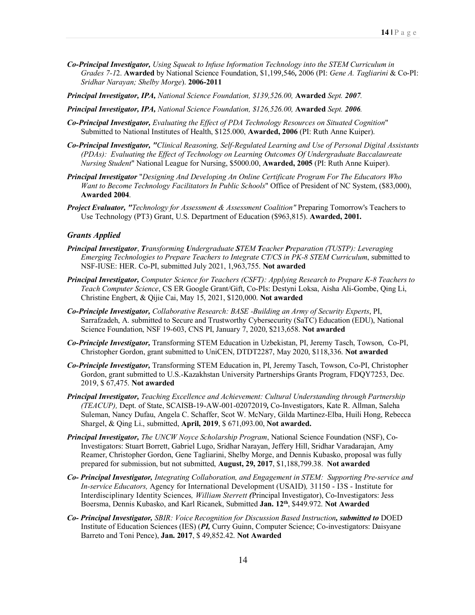- *Co-Principal Investigator, Using Squeak to Infuse Information Technology into the STEM Curriculum in Grades 7-1*2. **Awarded** by National Science Foundation, \$1,199,546**,** 2006 (PI: *Gene A. Tagliarini* & Co-PI: *Sridhar Narayan; Shelby Morge*). **2006-2011**
- *Principal Investigator, IPA, National Science Foundation, \$139,526.00,* **Awarded** *Sept. 2007.*
- *Principal Investigator, IPA, National Science Foundation, \$126,526.00,* **Awarded** *Sept. 2006.*
- *Co-Principal Investigator, Evaluating the Effect of PDA Technology Resources on Situated Cognition*" Submitted to National Institutes of Health, \$125.000, **Awarded, 2006** (PI: Ruth Anne Kuiper).
- *Co-Principal Investigator, "Clinical Reasoning, Self-Regulated Learning and Use of Personal Digital Assistants (PDAs): Evaluating the Effect of Technology on Learning Outcomes Of Undergraduate Baccalaureate Nursing Student*" National League for Nursing, \$5000.00, **Awarded, 2005** (PI: Ruth Anne Kuiper).
- *Principal Investigator* "*Designing And Developing An Online Certificate Program For The Educators Who Want to Become Technology Facilitators In Public Schools*" Office of President of NC System, (\$83,000), **Awarded 2004**.
- *Project Evaluator, "Technology for Assessment & Assessment Coalition"* Preparing Tomorrow's Teachers to Use Technology (PT3) Grant, U.S. Department of Education (\$963,815). **Awarded, 2001.**

#### *Grants Applied*

- *Principal Investigator*, *Transforming Undergraduate STEM Teacher Preparation (TUSTP): Leveraging Emerging Technologies to Prepare Teachers to Integrate CT/CS in PK-8 STEM Curriculum*, submitted to NSF-IUSE: HER. Co-PI, submitted July 2021, 1,963,755. **Not awarded**
- *Principal Investigator, Computer Science for Teachers (CSFT): Applying Research to Prepare K-8 Teachers to Teach Computer Science*, CS ER Google Grant/Gift, Co-PIs: Destyni Loksa, Aisha Ali-Gombe, Qing Li, Christine Engbert, & Qijie Cai, May 15, 2021, \$120,000. **Not awarded**
- *Co-Principle Investigator, Collaborative Research: BASE -Building an Army of Security Experts*, PI, Sarrafzadeh, A. submitted to Secure and Trustworthy Cybersecurity (SaTC) Education (EDU), National Science Foundation, NSF 19-603, CNS PI, January 7, 2020, \$213,658. **Not awarded**
- *Co-Principle Investigator,* Transforming STEM Education in Uzbekistan, PI, Jeremy Tasch, Towson, Co-PI, Christopher Gordon, grant submitted to UniCEN, DTDT2287, May 2020, \$118,336. **Not awarded**
- *Co-Principle Investigator,* Transforming STEM Education in, PI, Jeremy Tasch, Towson, Co-PI, Christopher Gordon, grant submitted to U.S.-Kazakhstan University Partnerships Grants Program, FDQY7253, Dec. 2019, \$ 67,475. **Not awarded**
- *Principal Investigator, Teaching Excellence and Achievement: Cultural Understanding through Partnership (TEACUP),* Dept. of State, SCAISB-19-AW-001-02072019*,* Co-Investigators, Kate R. Allman, Saleha Suleman, Nancy Dufau, Angela C. Schaffer, Scot W. McNary, Gilda Martinez-Elba, Huili Hong, Rebecca Shargel, & Qing Li., submitted, **April, 2019**, \$ 671,093.00, **Not awarded.**
- *Principal Investigator, The UNCW Noyce Scholarship Program*, National Science Foundation (NSF), Co-Investigators: Stuart Borrett, Gabriel Lugo, Sridhar Narayan, Jeffery Hill, Sridhar Varadarajan, Amy Reamer, Christopher Gordon, Gene Tagliarini, Shelby Morge, and Dennis Kubasko, proposal was fully prepared for submission, but not submitted, **August, 29, 2017**, \$1,188,799.38. **Not awarded**
- *Co- Principal Investigator, Integrating Collaboration, and Engagement in STEM: Supporting Pre-service and In-service Educators,* Agency for International Development (USAID)*,* 31150 - I3S - Institute for Interdisciplinary Identity Sciences*, William Sterrett (*Principal Investigator), Co-Investigators: Jess Boersma, Dennis Kubasko, and Karl Ricanek, Submitted **Jan. 12th**, \$449.972. **Not Awarded**
- *Co- Principal Investigator, SBIR: Voice Recognition for Discussion Based Instruction, submitted to* DOED Institute of Education Sciences (IES) (*PI,* Curry Guinn, Computer Science; Co-investigators: Daisyane Barreto and Toni Pence), **Jan. 2017**, \$ 49,852.42. **Not Awarded**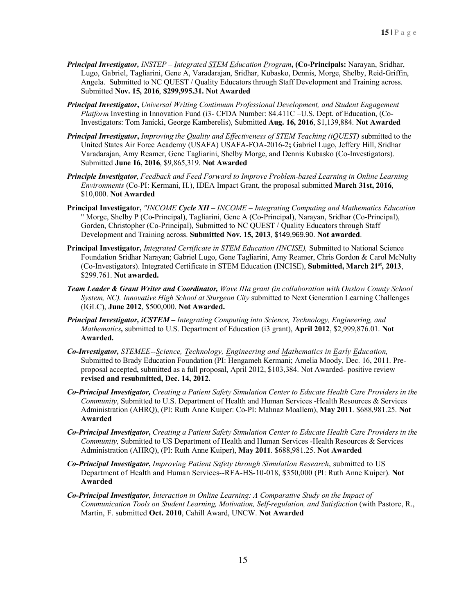- *Principal Investigator, INSTEP* **–** *Integrated STEM Education Program***, (Co-Principals:** Narayan, Sridhar, Lugo, Gabriel, Tagliarini, Gene A, Varadarajan, Sridhar, Kubasko, Dennis, Morge, Shelby, Reid-Griffin, Angela. Submitted to NC QUEST / Quality Educators through Staff Development and Training across. Submitted **Nov. 15, 2016**, **\$299,995.31. Not Awarded**
- *Principal Investigator***,** *Universal Writing Continuum Professional Development, and Student Engagement Platform* Investing in Innovation Fund (i3- CFDA Number: 84.411C –U.S. Dept. of Education, (Co-Investigators: Tom Janicki, George Kamberelis), Submitted **Aug. 16, 2016**, \$1,139,884. **Not Awarded**
- *Principal Investigator***,** *Improving the Quality and Effectiveness of STEM Teaching (iQUEST)* submitted to the United States Air Force Academy (USAFA) USAFA-FOA-2016-2**;** Gabriel Lugo, Jeffery Hill, Sridhar Varadarajan, Amy Reamer, Gene Tagliarini, Shelby Morge, and Dennis Kubasko (Co-Investigators). Submitted **June 16, 2016**, \$9,865,319. **Not Awarded**
- *Principle Investigator*, *Feedback and Feed Forward to Improve Problem-based Learning in Online Learning Environments* (Co-PI: Kermani, H.), IDEA Impact Grant, the proposal submitted **March 31st, 2016**, \$10,000. **Not Awarded**
- **Principal Investigator,** *"INCOME Cycle XII – INCOME – Integrating Computing and Mathematics Education* " Morge, Shelby P (Co-Principal), Tagliarini, Gene A (Co-Principal), Narayan, Sridhar (Co-Principal), Gorden, Christopher (Co-Principal), Submitted to NC QUEST / Quality Educators through Staff Development and Training across. **Submitted Nov. 15, 2013**, \$149,969.90. **Not awarded**.
- **Principal Investigator,** *Integrated Certificate in STEM Education (INCISE),* Submitted to National Science Foundation Sridhar Narayan; Gabriel Lugo, Gene Tagliarini, Amy Reamer, Chris Gordon & Carol McNulty (Co-Investigators). Integrated Certificate in STEM Education (INCISE), **Submitted, March 21st, 2013**, \$299.761. **Not awarded.**
- *Team Leader & Grant Writer and Coordinator, Wave IIIa grant (in collaboration with Onslow County School System, NC). Innovative High School at Sturgeon City* submitted to Next Generation Learning Challenges (IGLC), **June 2012**, \$500,000. **Not Awarded.**
- *Principal Investigator, iCSTEM – Integrating Computing into Science, Technology, Engineering, and Mathematics,* submitted to U.S. Department of Education (i3 grant), **April 2012**, \$2,999,876.01. **Not Awarded.**
- *Co-Investigator, STEMEE--Science, Technology, Engineering and Mathematics in Early Education,* Submitted to Brady Education Foundation (PI: Hengameh Kermani; Amelia Moody, Dec. 16, 2011. Preproposal accepted, submitted as a full proposal, April 2012, \$103,384. Not Awarded- positive review **revised and resubmitted, Dec. 14, 2012.**
- *Co-Principal Investigator, Creating a Patient Safety Simulation Center to Educate Health Care Providers in the Community*, Submitted to U.S. Department of Health and Human Services -Health Resources & Services Administration (AHRQ), (PI: Ruth Anne Kuiper: Co-PI: Mahnaz Moallem), **May 2011**. \$688,981.25. **Not Awarded**
- *Co-Principal Investigator***,** *Creating a Patient Safety Simulation Center to Educate Health Care Providers in the Community,* Submitted to US Department of Health and Human Services -Health Resources & Services Administration (AHRQ), (PI: Ruth Anne Kuiper), **May 2011**. \$688,981.25. **Not Awarded**
- *Co-Principal Investigator***,** *Improving Patient Safety through Simulation Research*, submitted to US Department of Health and Human Services--RFA-HS-10-018, \$350,000 (PI: Ruth Anne Kuiper). **Not Awarded**
- *Co-Principal Investigator*, *Interaction in Online Learning: A Comparative Study on the Impact of Communication Tools on Student Learning, Motivation, Self-regulation, and Satisfaction* (with Pastore, R., Martin, F. submitted **Oct. 2010**, Cahill Award, UNCW. **Not Awarded**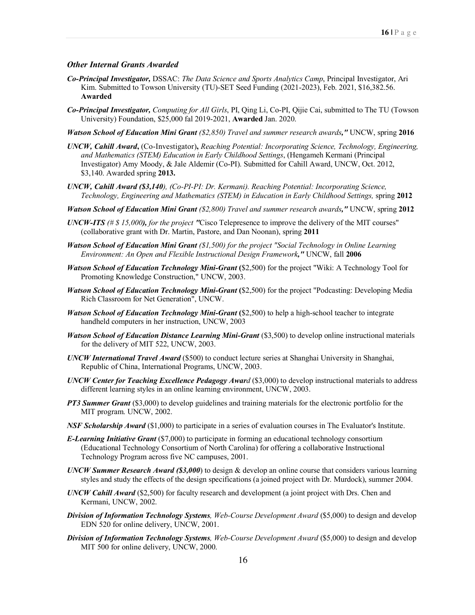#### *Other Internal Grants Awarded*

- *Co-Principal Investigator,* DSSAC: *The Data Science and Sports Analytics Camp*, Principal Investigator, Ari Kim. Submitted to Towson University (TU)-SET Seed Funding (2021-2023), Feb. 2021, \$16,382.56. **Awarded**
- *Co-Principal Investigator, Computing for All Girls*, PI, Qing Li, Co-PI, Qijie Cai, submitted to The TU (Towson University) Foundation, \$25,000 fal 2019-2021, **Awarded** Jan. 2020.
- *Watson School of Education Mini Grant (\$2,850) Travel and summer research awards,"* UNCW, spring **2016**
- *UNCW, Cahill Award***,** (Co-Investigator)**,** *Reaching Potential: Incorporating Science, Technology, Engineering, and Mathematics (STEM) Education in Early Childhood Settings*, (Hengameh Kermani (Principal Investigator) Amy Moody, & Jale Aldemir (Co-PI). Submitted for Cahill Award, UNCW, Oct. 2012, \$3,140. Awarded spring **2013.**
- *UNCW, Cahill Award (\$3,140), (Co-PI-PI: Dr. Kermani). Reaching Potential: Incorporating Science, Technology, Engineering and Mathematics (STEM) in Education in Early Childhood Settings,* spring **2012**
- *Watson School of Education Mini Grant (\$2,800) Travel and summer research awards,"* UNCW, spring **2012**
- *UNCW-ITS (# \$ 15,000), for the project "*Cisco Telepresence to improve the delivery of the MIT courses" (collaborative grant with Dr. Martin, Pastore, and Dan Noonan), spring **2011**
- *Watson School of Education Mini Grant (\$1,500) for the project "Social Technology in Online Learning Environment: An Open and Flexible Instructional Design Framework,"* UNCW, fall **2006**
- *Watson School of Education Technology Mini-Grant* **(**\$2,500) for the project "Wiki: A Technology Tool for Promoting Knowledge Construction," UNCW, 2003.
- *Watson School of Education Technology Mini-Grant* **(**\$2,500) for the project "Podcasting: Developing Media Rich Classroom for Net Generation", UNCW.
- *Watson School of Education Technology Mini-Grant* **(**\$2,500) to help a high-school teacher to integrate handheld computers in her instruction, UNCW, 2003
- *Watson School of Education Distance Learning Mini-Grant* (\$3,500) to develop online instructional materials for the delivery of MIT 522, UNCW, 2003.
- *UNCW International Travel Award* (\$500) to conduct lecture series at Shanghai University in Shanghai, Republic of China, International Programs, UNCW, 2003.
- *UNCW Center for Teaching Excellence Pedagogy Award* (\$3,000) to develop instructional materials to address different learning styles in an online learning environment, UNCW, 2003.
- *PT3 Summer Grant* (\$3,000) to develop guidelines and training materials for the electronic portfolio for the MIT program. UNCW, 2002.
- *NSF Scholarship Award* (\$1,000) to participate in a series of evaluation courses in The Evaluator's Institute.
- *E-Learning Initiative Grant* (\$7,000) to participate in forming an educational technology consortium (Educational Technology Consortium of North Carolina) for offering a collaborative Instructional Technology Program across five NC campuses, 2001.
- *UNCW Summer Research Award (\$3,000*) to design & develop an online course that considers various learning styles and study the effects of the design specifications (a joined project with Dr. Murdock), summer 2004.
- *UNCW Cahill Award* (\$2,500) for faculty research and development (a joint project with Drs. Chen and Kermani, UNCW, 2002.
- *Division of Information Technology Systems, Web-Course Development Award* (\$5,000) to design and develop EDN 520 for online delivery, UNCW, 2001.
- *Division of Information Technology Systems, Web-Course Development Award* (\$5,000) to design and develop MIT 500 for online delivery, UNCW, 2000.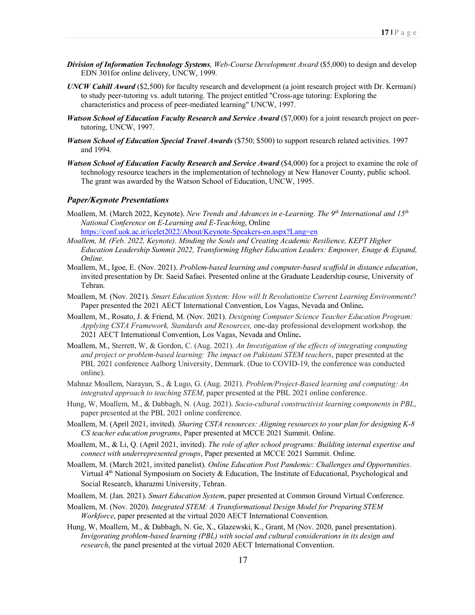- *Division of Information Technology Systems, Web-Course Development Award* (\$5,000) to design and develop EDN 301for online delivery, UNCW, 1999.
- *UNCW Cahill Award* (\$2,500) for faculty research and development (a joint research project with Dr. Kermani) to study peer-tutoring vs. adult tutoring. The project entitled "Cross-age tutoring: Exploring the characteristics and process of peer-mediated learning" UNCW, 1997.
- *Watson School of Education Faculty Research and Service Award* (\$7,000) for a joint research project on peertutoring, UNCW, 1997.
- *Watson School of Education Special Travel Awards* (\$750; \$500) to support research related activities. 1997 and 1994.
- *Watson School of Education Faculty Research and Service Award* (\$4,000) for a project to examine the role of technology resource teachers in the implementation of technology at New Hanover County, public school. The grant was awarded by the Watson School of Education, UNCW, 1995.

#### *Paper/Keynote Presentations*

- Moallem, M. (March 2022, Keynote). *New Trends and Advances in e-Learning*. *The 9th International and 15th National Conference on E-Learning and E-Teaching*, Online https://conf.uok.ac.ir/icelet2022/About/Keynote-Speakers-en.aspx?Lang=en
- *Moallem, M. (Feb. 2022, Keynote). Minding the Souls and Creating Academic Resilience, KEPT Higher Education Leadership Summit 2022, Transforming Higher Education Leaders: Empower, Enage & Expand, Online.*
- Moallem, M., Igoe, E. (Nov. 2021). *Problem-based learning and computer-based scaffold in distance education*, invited presentation by Dr. Saeid Safaei. Presented online at the Graduate Leadership course, University of Tehran.
- Moallem, M. (Nov. 2021). *Smart Education System: How will It Revolutionize Current Learning Environments*? Paper presented the 2021 AECT International Convention, Los Vagas, Nevada and Online**.**
- Moallem, M., Rosato, J. & Friend, M. (Nov. 2021). *Designing Computer Science Teacher Education Program: Applying CSTA Framework, Standards and Resources,* one-day professional development workshop*,* the 2021 AECT International Convention, Los Vagas, Nevada and Online**.**
- Moallem, M., Sterrett, W, & Gordon, C. (Aug. 2021). *An Investigation of the effects of integrating computing and project or problem-based learning: The impact on Pakistani STEM teachers*, paper presented at the PBL 2021 conference Aalborg University, Denmark. (Due to COVID-19, the conference was conducted online).
- Mahnaz Moallem, Narayan, S., & Lugo, G. (Aug. 2021). *Problem/Project-Based learning and computing: An integrated approach to teaching STEM*, paper presented at the PBL 2021 online conference.
- Hung, W, Moallem, M., & Dabbagh, N. (Aug. 2021). *Socio-cultural constructivist learning components in PBL*, paper presented at the PBL 2021 online conference.
- Moallem, M. (April 2021, invited). *Sharing CSTA resources: Aligning resources to your plan for designing K-8 CS teacher education programs*, Paper presented at MCCE 2021 Summit. Online.
- Moallem, M., & Li, Q. (April 2021, invited). *The role of after school programs: Building internal expertise and connect with underrepresented groups*, Paper presented at MCCE 2021 Summit. Online.
- Moallem, M. (March 2021, invited panelist). *Online Education Post Pandemic: Challenges and Opportunities*. Virtual  $4<sup>th</sup>$  National Symposium on Society & Education, The Institute of Educational, Psychological and Social Research, kharazmi University, Tehran.
- Moallem, M. (Jan. 2021). *Smart Education System*, paper presented at Common Ground Virtual Conference.
- Moallem, M. (Nov. 2020). *Integrated STEM: A Transformational Design Model for Preparing STEM Workforce*, paper presented at the virtual 2020 AECT International Convention.
- Hung, W, Moallem, M., & Dabbagh, N. Ge, X., Glazewski, K., Grant, M (Nov. 2020, panel presentation). *Invigorating problem-based learning (PBL) with social and cultural considerations in its design and research*, the panel presented at the virtual 2020 AECT International Convention.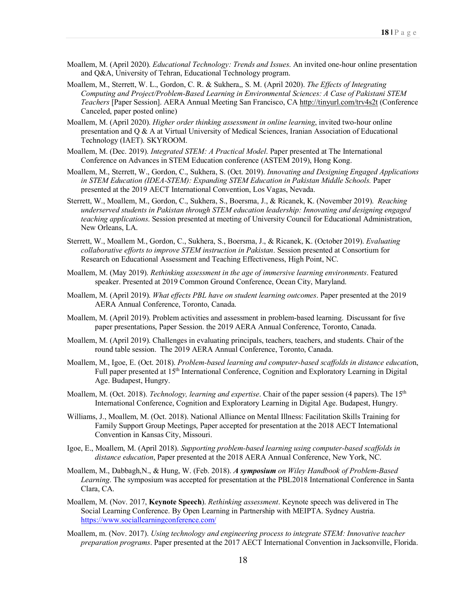- Moallem, M. (April 2020). *Educational Technology: Trends and Issues*. An invited one-hour online presentation and Q&A, University of Tehran, Educational Technology program.
- Moallem, M., Sterrett, W. L., Gordon, C. R. & Sukhera,, S. M. (April 2020). *The Effects of Integrating Computing and Project/Problem-Based Learning in Environmental Sciences: A Case of Pakistani STEM Teachers* [Paper Session]. AERA Annual Meeting San Francisco, CA http://tinyurl.com/trv4s2t (Conference Canceled, paper posted online)
- Moallem, M. (April 2020). *Higher order thinking assessment in online learning*, invited two-hour online presentation and Q & A at Virtual University of Medical Sciences, Iranian Association of Educational Technology (IAET). SKYROOM.
- Moallem, M. (Dec. 2019). *Integrated STEM: A Practical Model*. Paper presented at The International Conference on Advances in STEM Education conference (ASTEM 2019), Hong Kong.
- Moallem, M., Sterrett, W., Gordon, C., Sukhera, S. (Oct. 2019). *Innovating and Designing Engaged Applications in STEM Education (IDEA-STEM): Expanding STEM Education in Pakistan Middle Schools.* Paper presented at the 2019 AECT International Convention, Los Vagas, Nevada.
- Sterrett, W., Moallem, M., Gordon, C., Sukhera, S., Boersma, J., & Ricanek, K. (November 2019). *Reaching underserved students in Pakistan through STEM education leadership: Innovating and designing engaged teaching applications*. Session presented at meeting of University Council for Educational Administration, New Orleans, LA.
- Sterrett, W., Moallem M., Gordon, C., Sukhera, S., Boersma, J., & Ricanek, K. (October 2019). *Evaluating collaborative efforts to improve STEM instruction in Pakistan*. Session presented at Consortium for Research on Educational Assessment and Teaching Effectiveness, High Point, NC.
- Moallem, M. (May 2019). *Rethinking assessment in the age of immersive learning environments*. Featured speaker. Presented at 2019 Common Ground Conference, Ocean City, Maryland.
- Moallem, M. (April 2019). *What effects PBL have on student learning outcomes*. Paper presented at the 2019 AERA Annual Conference, Toronto, Canada.
- Moallem, M. (April 2019). Problem activities and assessment in problem-based learning. Discussant for five paper presentations, Paper Session. the 2019 AERA Annual Conference, Toronto, Canada.
- Moallem, M. (April 2019). Challenges in evaluating principals, teachers, teachers, and students. Chair of the round table session. The 2019 AERA Annual Conference, Toronto, Canada.
- Moallem, M., Igoe, E. (Oct. 2018). *Problem-based learning and computer-based scaffolds in distance educatio*n, Full paper presented at 15th International Conference, Cognition and Exploratory Learning in Digital Age. Budapest, Hungry.
- Moallem, M. (Oct. 2018). *Technology, learning and expertise*. Chair of the paper session (4 papers). The 15th International Conference, Cognition and Exploratory Learning in Digital Age. Budapest, Hungry.
- Williams, J., Moallem, M. (Oct. 2018). National Alliance on Mental Illness: Facilitation Skills Training for Family Support Group Meetings, Paper accepted for presentation at the 2018 AECT International Convention in Kansas City, Missouri.
- Igoe, E., Moallem, M. (April 2018). *Supporting problem-based learning using computer-based scaffolds in distance education*, Paper presented at the 2018 AERA Annual Conference, New York, NC.
- Moallem, M., Dabbagh,N., & Hung, W. (Feb. 2018). *A symposium on Wiley Handbook of Problem-Based Learning*. The symposium was accepted for presentation at the PBL2018 International Conference in Santa Clara, CA.
- Moallem, M. (Nov. 2017, **Keynote Speech**). *Rethinking assessment*. Keynote speech was delivered in The Social Learning Conference. By Open Learning in Partnership with MEIPTA. Sydney Austria. https://www.sociallearningconference.com/
- Moallem, m. (Nov. 2017). *Using technology and engineering process to integrate STEM: Innovative teacher preparation programs*. Paper presented at the 2017 AECT International Convention in Jacksonville, Florida.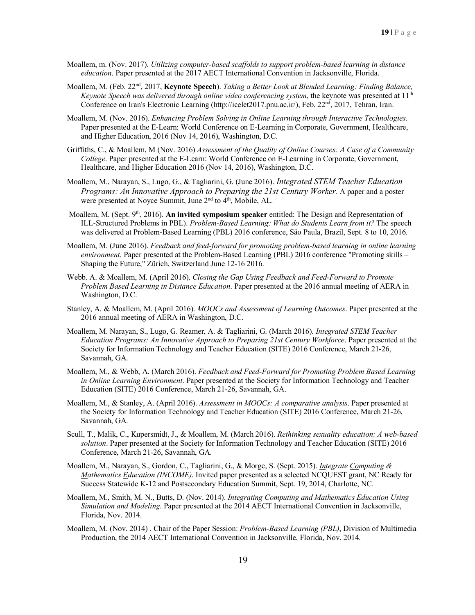- Moallem, m. (Nov. 2017). *Utilizing computer-based scaffolds to support problem-based learning in distance education*. Paper presented at the 2017 AECT International Convention in Jacksonville, Florida.
- Moallem, M. (Feb. 22nd, 2017, **Keynote Speech**). *Taking a Better Look at Blended Learning: Finding Balance, Keynote Speech was delivered through online video conferencing system*, the keynote was presented at 11<sup>th</sup> Conference on Iran's Electronic Learning (http://icelet2017.pnu.ac.ir/), Feb. 22nd, 2017, Tehran, Iran.
- Moallem, M. (Nov. 2016). *Enhancing Problem Solving in Online Learning through Interactive Technologies*. Paper presented at the E-Learn: World Conference on E-Learning in Corporate, Government, Healthcare, and Higher Education, 2016 (Nov 14, 2016), Washington, D.C.
- Griffiths, C., & Moallem, M (Nov. 2016) *Assessment of the Quality of Online Courses: A Case of a Community College*. Paper presented at the E-Learn: World Conference on E-Learning in Corporate, Government, Healthcare, and Higher Education 2016 (Nov 14, 2016), Washington, D.C.
- Moallem, M., Narayan, S., Lugo, G., & Tagliarini, G. (June 2016). *Integrated STEM Teacher Education Programs: An Innovative Approach to Preparing the 21st Century Worker*. A paper and a poster were presented at Noyce Summit, June  $2<sup>nd</sup>$  to  $4<sup>th</sup>$ , Mobile, AL.
- Moallem, M. (Sept. 9<sup>th</sup>, 2016). **An invited symposium speaker** entitled: The Design and Representation of ILL-Structured Problems in PBL). *Problem-Based Learning: What do Students Learn from it?* The speech was delivered at Problem-Based Learning (PBL) 2016 conference, Säo Paula, Brazil, Sept. 8 to 10, 2016.
- Moallem, M. (June 2016). *Feedback and feed-forward for promoting problem-based learning in online learning environment.* Paper presented at the Problem-Based Learning (PBL) 2016 conference "Promoting skills – Shaping the Future," Zürich, Switzerland June 12-16 2016.
- Webb. A. & Moallem, M. (April 2016). *Closing the Gap Using Feedback and Feed-Forward to Promote Problem Based Learning in Distance Education*. Paper presented at the 2016 annual meeting of AERA in Washington, D.C.
- Stanley, A. & Moallem, M. (April 2016). *MOOCs and Assessment of Learning Outcomes*. Paper presented at the 2016 annual meeting of AERA in Washington, D.C.
- Moallem, M. Narayan, S., Lugo, G. Reamer, A. & Tagliarini, G. (March 2016). *Integrated STEM Teacher Education Programs: An Innovative Approach to Preparing 21st Century Workforce*. Paper presented at the Society for Information Technology and Teacher Education (SITE) 2016 Conference, March 21-26, Savannah, GA.
- Moallem, M., & Webb, A. (March 2016). *Feedback and Feed-Forward for Promoting Problem Based Learning in Online Learning Environment*. Paper presented at the Society for Information Technology and Teacher Education (SITE) 2016 Conference, March 21-26, Savannah, GA.
- Moallem, M., & Stanley, A. (April 2016). *Assessment in MOOCs: A comparative analysis*. Paper presented at the Society for Information Technology and Teacher Education (SITE) 2016 Conference, March 21-26, Savannah, GA.
- Scull, T., Malik, C., Kupersmidt, J., & Moallem, M. (March 2016). *Rethinking sexuality education: A web-based solution*. Paper presented at the Society for Information Technology and Teacher Education (SITE) 2016 Conference, March 21-26, Savannah, GA.
- Moallem, M., Narayan, S., Gordon, C., Tagliarini, G., & Morge, S. (Sept. 2015). *Integrate Computing & Mathematics Education (INCOME)*. Invited paper presented as a selected NCQUEST grant, NC Ready for Success Statewide K-12 and Postsecondary Education Summit, Sept. 19, 2014, Charlotte, NC.
- Moallem, M., Smith, M. N., Butts, D. (Nov. 2014). *Integrating Computing and Mathematics Education Using Simulation and Modeling*. Paper presented at the 2014 AECT International Convention in Jacksonville, Florida, Nov. 2014.
- Moallem, M. (Nov. 2014) . Chair of the Paper Session: *Problem-Based Learning (PBL)*, Division of Multimedia Production, the 2014 AECT International Convention in Jacksonville, Florida, Nov. 2014.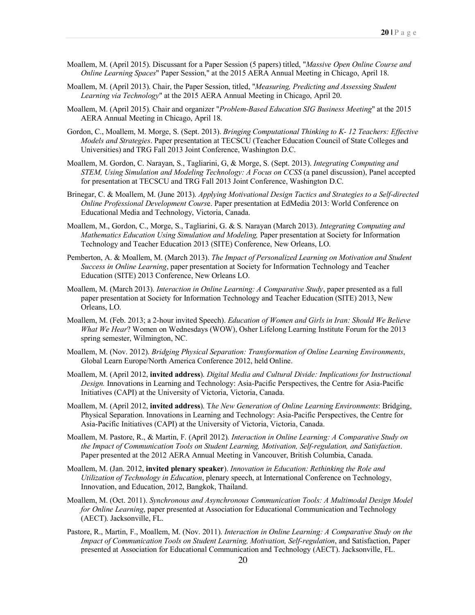- Moallem, M. (April 2015). Discussant for a Paper Session (5 papers) titled, "*Massive Open Online Course and Online Learning Spaces*" Paper Session," at the 2015 AERA Annual Meeting in Chicago, April 18.
- Moallem, M. (April 2013). Chair, the Paper Session, titled, "*Measuring, Predicting and Assessing Student Learning via Technology*" at the 2015 AERA Annual Meeting in Chicago, April 20.
- Moallem, M. (April 2015). Chair and organizer "*Problem-Based Education SIG Business Meeting*" at the 2015 AERA Annual Meeting in Chicago, April 18.
- Gordon, C., Moallem, M. Morge, S. (Sept. 2013). *Bringing Computational Thinking to K- 12 Teachers: Effective Models and Strategies*. Paper presentation at TECSCU (Teacher Education Council of State Colleges and Universities) and TRG Fall 2013 Joint Conference, Washington D.C.
- Moallem, M. Gordon, C. Narayan, S., Tagliarini, G, & Morge, S. (Sept. 2013). *Integrating Computing and STEM, Using Simulation and Modeling Technology: A Focus on CCSS* (a panel discussion), Panel accepted for presentation at TECSCU and TRG Fall 2013 Joint Conference, Washington D.C.
- Brinegar, C. & Moallem, M. (June 2013). *Applying Motivational Design Tactics and Strategies to a Self-directed Online Professional Development Cours*e. Paper presentation at EdMedia 2013: World Conference on Educational Media and Technology, Victoria, Canada.
- Moallem, M., Gordon, C., Morge, S., Tagliarini, G. & S. Narayan (March 2013). *Integrating Computing and Mathematics Education Using Simulation and Modeling,* Paper presentation at Society for Information Technology and Teacher Education 2013 (SITE) Conference, New Orleans, LO.
- Pemberton, A. & Moallem, M. (March 2013). *The Impact of Personalized Learning on Motivation and Student Success in Online Learning*, paper presentation at Society for Information Technology and Teacher Education (SITE) 2013 Conference, New Orleans LO.
- Moallem, M. (March 2013). *Interaction in Online Learning: A Comparative Study*, paper presented as a full paper presentation at Society for Information Technology and Teacher Education (SITE) 2013, New Orleans, LO.
- Moallem, M. (Feb. 2013; a 2-hour invited Speech). *Education of Women and Girls in Iran: Should We Believe What We Hear*? Women on Wednesdays (WOW), Osher Lifelong Learning Institute Forum for the 2013 spring semester, Wilmington, NC.
- Moallem, M. (Nov. 2012). *Bridging Physical Separation: Transformation of Online Learning Environments*, Global Learn Europe/North America Conference 2012, held Online.
- Moallem, M. (April 2012, **invited address**). *Digital Media and Cultural Divide: Implications for Instructional Design.* Innovations in Learning and Technology: Asia-Pacific Perspectives, the Centre for Asia-Pacific Initiatives (CAPI) at the University of Victoria, Victoria, Canada.
- Moallem, M. (April 2012, **invited address**). T*he New Generation of Online Learning Environments*: Bridging, Physical Separation. Innovations in Learning and Technology: Asia-Pacific Perspectives, the Centre for Asia-Pacific Initiatives (CAPI) at the University of Victoria, Victoria, Canada.
- Moallem, M. Pastore, R., & Martin, F. (April 2012). *Interaction in Online Learning: A Comparative Study on the Impact of Communication Tools on Student Learning, Motivation, Self-regulation, and Satisfaction*. Paper presented at the 2012 AERA Annual Meeting in Vancouver, British Columbia, Canada.
- Moallem, M. (Jan. 2012, **invited plenary speaker**). *Innovation in Education: Rethinking the Role and Utilization of Technology in Education*, plenary speech, at International Conference on Technology, Innovation, and Education, 2012, Bangkok, Thailand.
- Moallem, M. (Oct. 2011). *Synchronous and Asynchronous Communication Tools: A Multimodal Design Model for Online Learning*, paper presented at Association for Educational Communication and Technology (AECT). Jacksonville, FL.
- Pastore, R., Martin, F., Moallem, M. (Nov. 2011). *Interaction in Online Learning: A Comparative Study on the Impact of Communication Tools on Student Learning, Motivation, Self-regulation*, and Satisfaction, Paper presented at Association for Educational Communication and Technology (AECT). Jacksonville, FL.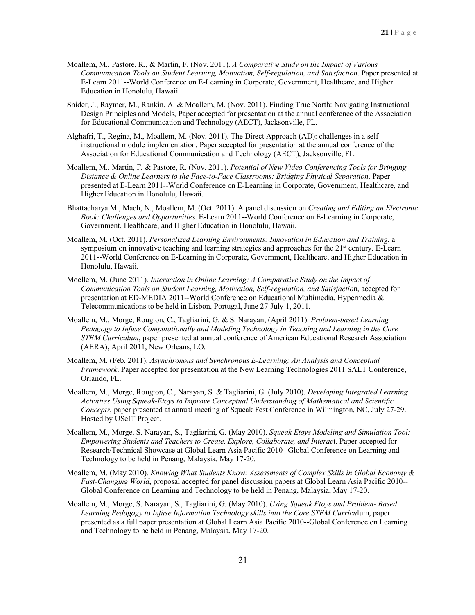- Moallem, M., Pastore, R., & Martin, F. (Nov. 2011). *A Comparative Study on the Impact of Various Communication Tools on Student Learning, Motivation, Self-regulation, and Satisfaction*. Paper presented at E-Learn 2011--World Conference on E-Learning in Corporate, Government, Healthcare, and Higher Education in Honolulu, Hawaii.
- Snider, J., Raymer, M., Rankin, A. & Moallem, M. (Nov. 2011). Finding True North: Navigating Instructional Design Principles and Models, Paper accepted for presentation at the annual conference of the Association for Educational Communication and Technology (AECT), Jacksonville, FL.
- Alghafri, T., Regina, M., Moallem, M. (Nov. 2011). The Direct Approach (AD): challenges in a selfinstructional module implementation, Paper accepted for presentation at the annual conference of the Association for Educational Communication and Technology (AECT), Jacksonville, FL.
- Moallem, M., Martin, F, & Pastore, R. (Nov. 2011). *Potential of New Video Conferencing Tools for Bringing Distance & Online Learners to the Face-to-Face Classrooms: Bridging Physical Separation*. Paper presented at E-Learn 2011--World Conference on E-Learning in Corporate, Government, Healthcare, and Higher Education in Honolulu, Hawaii.
- Bhattacharya M., Mach, N., Moallem, M. (Oct. 2011). A panel discussion on *Creating and Editing an Electronic Book: Challenges and Opportunities*. E-Learn 2011--World Conference on E-Learning in Corporate, Government, Healthcare, and Higher Education in Honolulu, Hawaii.
- Moallem, M. (Oct. 2011). *Personalized Learning Environments: Innovation in Education and Training*, a symposium on innovative teaching and learning strategies and approaches for the 21<sup>st</sup> century. E-Learn 2011--World Conference on E-Learning in Corporate, Government, Healthcare, and Higher Education in Honolulu, Hawaii.
- Moellem, M. (June 2011). *Interaction in Online Learning: A Comparative Study on the Impact of Communication Tools on Student Learning, Motivation, Self-regulation, and Satisfactio*n, accepted for presentation at ED-MEDIA 2011--World Conference on Educational Multimedia, Hypermedia & Telecommunications to be held in Lisbon, Portugal, June 27-July 1, 2011.
- Moallem, M., Morge, Rougton, C., Tagliarini, G. & S. Narayan, (April 2011). *Problem-based Learning Pedagogy to Infuse Computationally and Modeling Technology in Teaching and Learning in the Core STEM Curriculum*, paper presented at annual conference of American Educational Research Association (AERA), April 2011, New Orleans, LO.
- Moallem, M. (Feb. 2011). *Asynchronous and Synchronous E-Learning: An Analysis and Conceptual Framework*. Paper accepted for presentation at the New Learning Technologies 2011 SALT Conference, Orlando, FL.
- Moallem, M., Morge, Rougton, C., Narayan, S. & Tagliarini, G. (July 2010). *Developing Integrated Learning Activities Using Squeak-Etoys to Improve Conceptual Understanding of Mathematical and Scientific Concepts*, paper presented at annual meeting of Squeak Fest Conference in Wilmington, NC, July 27-29. Hosted by USeIT Project.
- Moallem, M., Morge, S. Narayan, S., Tagliarini, G. (May 2010). *Squeak Etoys Modeling and Simulation Tool: Empowering Students and Teachers to Create, Explore, Collaborate, and Interac*t. Paper accepted for Research/Technical Showcase at Global Learn Asia Pacific 2010--Global Conference on Learning and Technology to be held in Penang, Malaysia, May 17-20.
- Moallem, M. (May 2010). *Knowing What Students Know: Assessments of Complex Skills in Global Economy & Fast-Changing World*, proposal accepted for panel discussion papers at Global Learn Asia Pacific 2010-- Global Conference on Learning and Technology to be held in Penang, Malaysia, May 17-20.
- Moallem, M., Morge, S. Narayan, S., Tagliarini, G. (May 2010). *Using Squeak Etoys and Problem- Based Learning Pedagogy to Infuse Information Technology skills into the Core STEM Curricu*lum, paper presented as a full paper presentation at Global Learn Asia Pacific 2010--Global Conference on Learning and Technology to be held in Penang, Malaysia, May 17-20.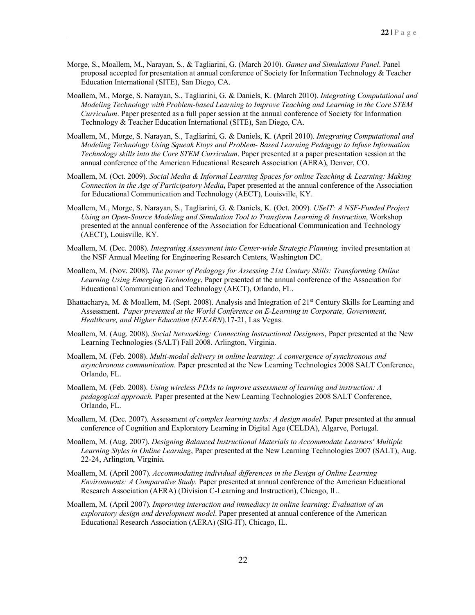- Morge, S., Moallem, M., Narayan, S., & Tagliarini, G. (March 2010). *Games and Simulations Panel*. Panel proposal accepted for presentation at annual conference of Society for Information Technology & Teacher Education International (SITE), San Diego, CA.
- Moallem, M., Morge, S. Narayan, S., Tagliarini, G. & Daniels, K. (March 2010). *Integrating Computational and Modeling Technology with Problem-based Learning to Improve Teaching and Learning in the Core STEM Curriculum*. Paper presented as a full paper session at the annual conference of Society for Information Technology & Teacher Education International (SITE), San Diego, CA.
- Moallem, M., Morge, S. Narayan, S., Tagliarini, G. & Daniels, K. (April 2010). *Integrating Computational and Modeling Technology Using Squeak Etoys and Problem- Based Learning Pedagogy to Infuse Information Technology skills into the Core STEM Curriculum*. Paper presented at a paper presentation session at the annual conference of the American Educational Research Association (AERA), Denver, CO.
- Moallem, M. (Oct. 2009). *Social Media & Informal Learning Spaces for online Teaching & Learning: Making Connection in the Age of Participatory Media***,** Paper presented at the annual conference of the Association for Educational Communication and Technology (AECT), Louisville, KY.
- Moallem, M., Morge, S. Narayan, S., Tagliarini, G. & Daniels, K. (Oct. 2009). *USeIT: A NSF-Funded Project Using an Open-Source Modeling and Simulation Tool to Transform Learning & Instruction*, Workshop presented at the annual conference of the Association for Educational Communication and Technology (AECT), Louisville, KY.
- Moallem, M. (Dec. 2008). *Integrating Assessment into Center-wide Strategic Planning,* invited presentation at the NSF Annual Meeting for Engineering Research Centers, Washington DC.
- Moallem, M. (Nov. 2008). *The power of Pedagogy for Assessing 21st Century Skills: Transforming Online Learning Using Emerging Technology*, Paper presented at the annual conference of the Association for Educational Communication and Technology (AECT), Orlando, FL.
- Bhattacharya, M. & Moallem, M. (Sept. 2008). Analysis and Integration of 21<sup>st</sup> Century Skills for Learning and Assessment. *Paper presented at the World Conference on E-Learning in Corporate, Government, Healthcare, and Higher Education (ELEARN*).17-21, Las Vegas.
- Moallem, M. (Aug. 2008). *Social Networking: Connecting Instructional Designers*, Paper presented at the New Learning Technologies (SALT) Fall 2008. Arlington, Virginia.
- Moallem, M. (Feb. 2008). *Multi-modal delivery in online learning: A convergence of synchronous and asynchronous communication*. Paper presented at the New Learning Technologies 2008 SALT Conference, Orlando, FL.
- Moallem, M. (Feb. 2008). *Using wireless PDAs to improve assessment of learning and instruction: A pedagogical approach.* Paper presented at the New Learning Technologies 2008 SALT Conference, Orlando, FL.
- Moallem, M. (Dec. 2007). Assessment *of complex learning tasks: A design model*. Paper presented at the annual conference of Cognition and Exploratory Learning in Digital Age (CELDA), Algarve, Portugal.
- Moallem, M. (Aug. 2007). *Designing Balanced Instructional Materials to Accommodate Learners' Multiple Learning Styles in Online Learning*, Paper presented at the New Learning Technologies 2007 (SALT), Aug. 22-24, Arlington, Virginia.
- Moallem, M. (April 2007). *Accommodating individual differences in the Design of Online Learning Environments: A Comparative Study*. Paper presented at annual conference of the American Educational Research Association (AERA) (Division C-Learning and Instruction), Chicago, IL.
- Moallem, M. (April 2007). *Improving interaction and immediacy in online learning: Evaluation of an exploratory design and development model*. Paper presented at annual conference of the American Educational Research Association (AERA) (SIG-IT), Chicago, IL.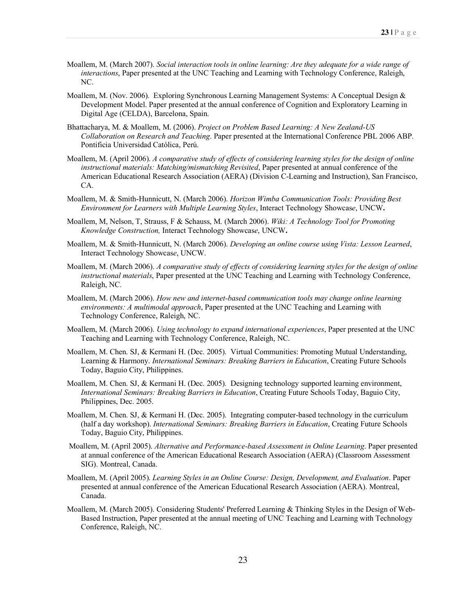- Moallem, M. (March 2007). *Social interaction tools in online learning: Are they adequate for a wide range of interactions*, Paper presented at the UNC Teaching and Learning with Technology Conference, Raleigh, NC.
- Moallem, M. (Nov. 2006). Exploring Synchronous Learning Management Systems: A Conceptual Design & Development Model. Paper presented at the annual conference of Cognition and Exploratory Learning in Digital Age (CELDA), Barcelona, Spain.
- Bhattacharya, M. & Moallem, M. (2006). *Project on Problem Based Learning: A New Zealand-US Collaboration on Research and Teaching*. Paper presented at the International Conference PBL 2006 ABP. Pontificia Universidad Católica, Perú.
- Moallem, M. (April 2006). *A comparative study of effects of considering learning styles for the design of online instructional materials: Matching/mismatching Revisited*, Paper presented at annual conference of the American Educational Research Association (AERA) (Division C-Learning and Instruction), San Francisco, CA.
- Moallem, M. & Smith-Hunnicutt, N. (March 2006). *Horizon Wimba Communication Tools: Providing Best Environment for Learners with Multiple Learning Styles*, Interact Technology Showcas*e*, UNCW**.**
- Moallem, M, Nelson, T, Strauss, F & Schauss, M. (March 2006). *Wiki: A Technology Tool for Promoting Knowledge Construction,* Interact Technology Showcas*e*, UNCW**.**
- Moallem, M. & Smith-Hunnicutt, N. (March 2006). *Developing an online course using Vista: Lesson Learned*, Interact Technology Showcas*e*, UNCW.
- Moallem, M. (March 2006). *A comparative study of effects of considering learning styles for the design of online instructional materials*, Paper presented at the UNC Teaching and Learning with Technology Conference, Raleigh, NC.
- Moallem, M. (March 2006). *How new and internet-based communication tools may change online learning environments: A multimodal approach*, Paper presented at the UNC Teaching and Learning with Technology Conference, Raleigh, NC.
- Moallem, M. (March 2006). *Using technology to expand international experiences*, Paper presented at the UNC Teaching and Learning with Technology Conference, Raleigh, NC.
- Moallem, M. Chen. SJ, & Kermani H. (Dec. 2005). Virtual Communities: Promoting Mutual Understanding, Learning & Harmony. *International Seminars: Breaking Barriers in Education*, Creating Future Schools Today, Baguio City, Philippines.
- Moallem, M. Chen. SJ, & Kermani H. (Dec. 2005). Designing technology supported learning environment, *International Seminars: Breaking Barriers in Education*, Creating Future Schools Today, Baguio City, Philippines, Dec. 2005.
- Moallem, M. Chen. SJ, & Kermani H. (Dec. 2005). Integrating computer-based technology in the curriculum (half a day workshop). *International Seminars: Breaking Barriers in Education*, Creating Future Schools Today, Baguio City, Philippines.
- Moallem, M. (April 2005). *Alternative and Performance-based Assessment in Online Learning*. Paper presented at annual conference of the American Educational Research Association (AERA) (Classroom Assessment SIG). Montreal, Canada.
- Moallem, M. (April 2005). *Learning Styles in an Online Course: Design, Development, and Evaluation*. Paper presented at annual conference of the American Educational Research Association (AERA). Montreal, Canada.
- Moallem, M. (March 2005). Considering Students' Preferred Learning & Thinking Styles in the Design of Web-Based Instruction, Paper presented at the annual meeting of UNC Teaching and Learning with Technology Conference, Raleigh, NC.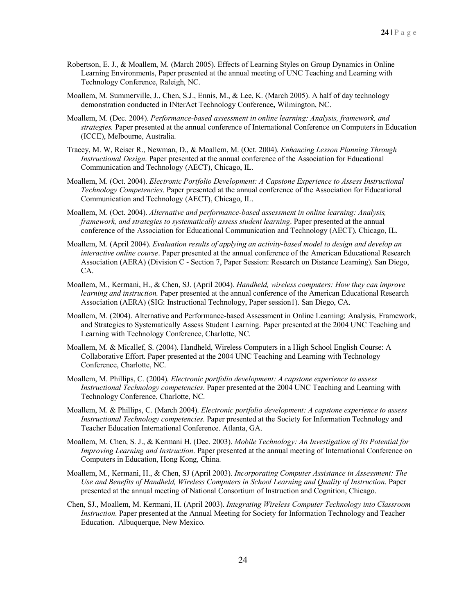- Robertson, E. J., & Moallem, M. (March 2005). Effects of Learning Styles on Group Dynamics in Online Learning Environments, Paper presented at the annual meeting of UNC Teaching and Learning with Technology Conference, Raleigh, NC.
- Moallem, M. Summerville, J., Chen, S.J., Ennis, M., & Lee, K. (March 2005). A half of day technology demonstration conducted in INterAct Technology Conference**,** Wilmington, NC.
- Moallem, M. (Dec. 2004). *Performance-based assessment in online learning: Analysis, framework, and strategies.* Paper presented at the annual conference of International Conference on Computers in Education (ICCE), Melbourne, Australia.
- Tracey, M. W, Reiser R., Newman, D., & Moallem, M. (Oct. 2004). *Enhancing Lesson Planning Through Instructional Design*. Paper presented at the annual conference of the Association for Educational Communication and Technology (AECT), Chicago, IL.
- Moallem, M. (Oct. 2004). *Electronic Portfolio Development: A Capstone Experience to Assess Instructional Technology Competencies*. Paper presented at the annual conference of the Association for Educational Communication and Technology (AECT), Chicago, IL.
- Moallem, M. (Oct. 2004). *Alternative and performance-based assessment in online learning: Analysis, framework, and strategies to systematically assess student learning*. Paper presented at the annual conference of the Association for Educational Communication and Technology (AECT), Chicago, IL.
- Moallem, M. (April 2004). *Evaluation results of applying an activity-based model to design and develop an interactive online course*. Paper presented at the annual conference of the American Educational Research Association (AERA) (Division C - Section 7, Paper Session: Research on Distance Learning). San Diego, CA.
- Moallem, M., Kermani, H., & Chen, SJ. (April 2004). *Handheld, wireless computers: How they can improve learning and instruction.* Paper presented at the annual conference of the American Educational Research Association (AERA) (SIG: Instructional Technology, Paper session1). San Diego, CA.
- Moallem, M. (2004). Alternative and Performance-based Assessment in Online Learning: Analysis, Framework, and Strategies to Systematically Assess Student Learning. Paper presented at the 2004 UNC Teaching and Learning with Technology Conference, Charlotte, NC.
- Moallem, M. & Micallef, S. (2004). Handheld, Wireless Computers in a High School English Course: A Collaborative Effort. Paper presented at the 2004 UNC Teaching and Learning with Technology Conference, Charlotte, NC.
- Moallem, M. Phillips, C. (2004). *Electronic portfolio development: A capstone experience to assess Instructional Technology competencies*. Paper presented at the 2004 UNC Teaching and Learning with Technology Conference, Charlotte, NC.
- Moallem, M. & Phillips, C. (March 2004). *Electronic portfolio development: A capstone experience to assess Instructional Technology competencies*. Paper presented at the Society for Information Technology and Teacher Education International Conference. Atlanta, GA.
- Moallem, M. Chen, S. J., & Kermani H. (Dec. 2003). *Mobile Technology: An Investigation of Its Potential for Improving Learning and Instruction*. Paper presented at the annual meeting of International Conference on Computers in Education, Hong Kong, China.
- Moallem, M., Kermani, H., & Chen, SJ (April 2003). *Incorporating Computer Assistance in Assessment: The Use and Benefits of Handheld, Wireless Computers in School Learning and Quality of Instruction*. Paper presented at the annual meeting of National Consortium of Instruction and Cognition, Chicago.
- Chen, SJ., Moallem, M. Kermani, H. (April 2003). *Integrating Wireless Computer Technology into Classroom Instruction*. Paper presented at the Annual Meeting for Society for Information Technology and Teacher Education. Albuquerque, New Mexico.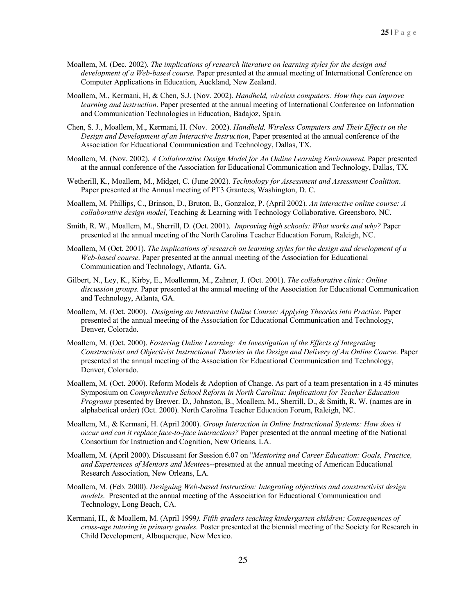- Moallem, M. (Dec. 2002). *The implications of research literature on learning styles for the design and development of a Web-based course.* Paper presented at the annual meeting of International Conference on Computer Applications in Education, Auckland, New Zealand.
- Moallem, M., Kermani, H, & Chen, S.J. (Nov. 2002). *Handheld, wireless computers: How they can improve learning and instruction*. Paper presented at the annual meeting of International Conference on Information and Communication Technologies in Education, Badajoz, Spain.
- Chen, S. J., Moallem, M., Kermani, H. (Nov. 2002). *Handheld, Wireless Computers and Their Effects on the Design and Development of an Interactive Instruction*, Paper presented at the annual conference of the Association for Educational Communication and Technology, Dallas, TX.
- Moallem, M. (Nov. 2002). *A Collaborative Design Model for An Online Learning Environment*. Paper presented at the annual conference of the Association for Educational Communication and Technology, Dallas, TX.
- Wetherill, K., Moallem, M., Midget, C. (June 2002). *Technology for Assessment and Assessment Coalition*. Paper presented at the Annual meeting of PT3 Grantees, Washington, D. C.
- Moallem, M. Phillips, C., Brinson, D., Bruton, B., Gonzaloz, P. (April 2002). *An interactive online course: A collaborative design model*, Teaching & Learning with Technology Collaborative, Greensboro, NC.
- Smith, R. W., Moallem, M., Sherrill, D. (Oct. 2001). *Improving high schools: What works and why?* Paper presented at the annual meeting of the North Carolina Teacher Education Forum, Raleigh, NC.
- Moallem, M (Oct. 2001). *The implications of research on learning styles for the design and development of a Web-based course*. Paper presented at the annual meeting of the Association for Educational Communication and Technology, Atlanta, GA.
- Gilbert, N., Ley, K., Kirby, E., Moallemm, M., Zahner, J. (Oct. 2001). *The collaborative clinic: Online discussion groups*. Paper presented at the annual meeting of the Association for Educational Communication and Technology, Atlanta, GA.
- Moallem, M. (Oct. 2000). *Designing an Interactive Online Course: Applying Theories into Practice*. Paper presented at the annual meeting of the Association for Educational Communication and Technology, Denver, Colorado.
- Moallem, M. (Oct. 2000). *Fostering Online Learning: An Investigation of the Effects of Integrating Constructivist and Objectivist Instructional Theories in the Design and Delivery of An Online Course*. Paper presented at the annual meeting of the Association for Educational Communication and Technology, Denver, Colorado.
- Moallem, M. (Oct. 2000). Reform Models & Adoption of Change. As part of a team presentation in a 45 minutes Symposium on *Comprehensive School Reform in North Carolina: Implications for Teacher Education Programs* presented by Brewer. D., Johnston, B., Moallem, M., Sherrill, D., & Smith, R. W. (names are in alphabetical order) (Oct. 2000). North Carolina Teacher Education Forum, Raleigh, NC.
- Moallem, M., & Kermani, H. (April 2000). *Group Interaction in Online Instructional Systems: How does it occur and can it replace face-to-face interactions?* Paper presented at the annual meeting of the National Consortium for Instruction and Cognition, New Orleans, LA.
- Moallem, M. (April 2000). Discussant for Session 6.07 on "*Mentoring and Career Education: Goals, Practice, and Experiences of Mentors and Mentee*s--presented at the annual meeting of American Educational Research Association, New Orleans, LA.
- Moallem, M. (Feb. 2000). *Designing Web-based Instruction: Integrating objectives and constructivist design models*. Presented at the annual meeting of the Association for Educational Communication and Technology, Long Beach, CA.
- Kermani, H., & Moallem, M. (April 1999*). Fifth graders teaching kindergarten children: Consequences of cross-age tutoring in primary grades*. Poster presented at the biennial meeting of the Society for Research in Child Development, Albuquerque, New Mexico.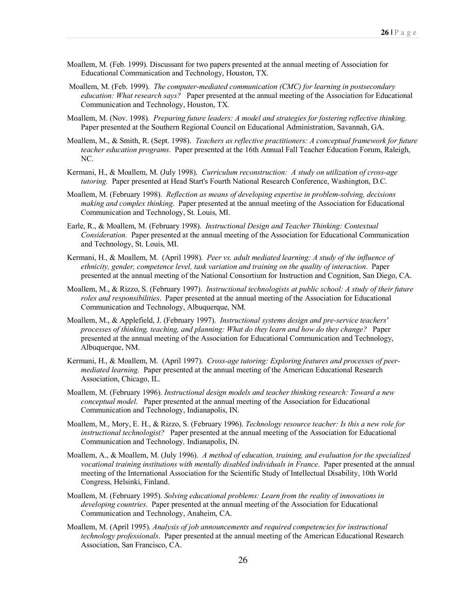- Moallem, M. (Feb. 1999). Discussant for two papers presented at the annual meeting of Association for Educational Communication and Technology, Houston, TX.
- Moallem, M. (Feb. 1999). *The computer-mediated communication (CMC) for learning in postsecondary education: What research says?* Paper presented at the annual meeting of the Association for Educational Communication and Technology, Houston, TX.
- Moallem, M. (Nov. 1998)*. Preparing future leaders: A model and strategies for fostering reflective thinking*. Paper presented at the Southern Regional Council on Educational Administration, Savannah, GA.
- Moallem, M., & Smith, R. (Sept. 1998). *Teachers as reflective practitioners: A conceptual framework for future teacher education programs*. Paper presented at the 16th Annual Fall Teacher Education Forum, Raleigh, NC.
- Kermani, H., & Moallem, M. (July 1998). *Curriculum reconstruction: A study on utilization of cross-age tutoring.* Paper presented at Head Start's Fourth National Research Conference, Washington, D.C.
- Moallem, M. (February 1998). *Reflection as means of developing expertise in problem-solving, decisions making and complex thinking*. Paper presented at the annual meeting of the Association for Educational Communication and Technology, St. Louis, MI.
- Earle, R., & Moallem, M. (February 1998). *Instructional Design and Teacher Thinking: Contextual Consideration.* Paper presented at the annual meeting of the Association for Educational Communication and Technology, St. Louis, MI.
- Kermani, H., & Moallem, M. (April 1998). *Peer vs. adult mediated learning: A study of the influence of ethnicity, gender, competence level, task variation and training on the quality of interaction*. Paper presented at the annual meeting of the National Consortium for Instruction and Cognition, San Diego, CA.
- Moallem, M., & Rizzo, S. (February 1997). *Instructional technologists at public school: A study of their future roles and responsibilities*. Paper presented at the annual meeting of the Association for Educational Communication and Technology, Albuquerque, NM.
- Moallem, M., & Applefield, J. (February 1997). *Instructional systems design and pre-service teachers' processes of thinking, teaching, and planning: What do they learn and how do they change?* Paper presented at the annual meeting of the Association for Educational Communication and Technology, Albuquerque, NM.
- Kermani, H., & Moallem, M. (April 1997). *Cross-age tutoring: Exploring features and processes of peermediated learning.* Paper presented at the annual meeting of the American Educational Research Association, Chicago, IL.
- Moallem, M. (February 1996). *Instructional design models and teacher thinking research: Toward a new conceptual model*. Paper presented at the annual meeting of the Association for Educational Communication and Technology, Indianapolis, IN.
- Moallem, M., Mory, E. H., & Rizzo, S. (February 1996). *Technology resource teacher: Is this a new role for instructional technologist?* Paper presented at the annual meeting of the Association for Educational Communication and Technology*,* Indianapolis, IN.
- Moallem, A., & Moallem, M. (July 1996). *A method of education, training, and evaluation for the specialized vocational training institutions with mentally disabled individuals in France*. Paper presented at the annual meeting of the International Association for the Scientific Study of Intellectual Disability, 10th World Congress, Helsinki, Finland.
- Moallem, M. (February 1995). *Solving educational problems: Learn from the reality of innovations in developing countries*. Paper presented at the annual meeting of the Association for Educational Communication and Technology, Anaheim, CA.
- Moallem, M. (April 1995). *Analysis of job announcements and required competencies for instructional technology professionals*. Paper presented at the annual meeting of the American Educational Research Association, San Francisco, CA.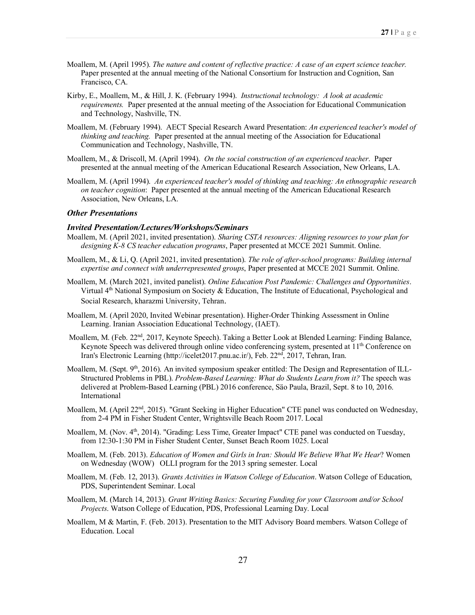- Moallem, M. (April 1995). *The nature and content of reflective practice: A case of an expert science teacher.* Paper presented at the annual meeting of the National Consortium for Instruction and Cognition, San Francisco, CA.
- Kirby, E., Moallem, M., & Hill, J. K. (February 1994). *Instructional technology: A look at academic requirements.* Paper presented at the annual meeting of the Association for Educational Communication and Technology, Nashville, TN.
- Moallem, M. (February 1994). AECT Special Research Award Presentation: *An experienced teacher's model of thinking and teaching.* Paper presented at the annual meeting of the Association for Educational Communication and Technology, Nashville, TN.
- Moallem, M., & Driscoll, M. (April 1994). *On the social construction of an experienced teacher*. Paper presented at the annual meeting of the American Educational Research Association, New Orleans, LA.
- Moallem, M. (April 1994). *An experienced teacher's model of thinking and teaching: An ethnographic research on teacher cognition*: Paper presented at the annual meeting of the American Educational Research Association, New Orleans, LA.

#### *Other Presentations*

#### *Invited Presentation/Lectures/Workshops/Seminars*

- Moallem, M. (April 2021, invited presentation). *Sharing CSTA resources: Aligning resources to your plan for designing K-8 CS teacher education programs*, Paper presented at MCCE 2021 Summit. Online.
- Moallem, M., & Li, Q. (April 2021, invited presentation). *The role of after-school programs: Building internal expertise and connect with underrepresented groups*, Paper presented at MCCE 2021 Summit. Online.
- Moallem, M. (March 2021, invited panelist). *Online Education Post Pandemic: Challenges and Opportunities*. Virtual  $4<sup>th</sup>$  National Symposium on Society & Education, The Institute of Educational, Psychological and Social Research, kharazmi University, Tehran.
- Moallem, M. (April 2020, Invited Webinar presentation). Higher-Order Thinking Assessment in Online Learning. Iranian Association Educational Technology, (IAET).
- Moallem, M. (Feb. 22<sup>nd</sup>, 2017, Keynote Speech). Taking a Better Look at Blended Learning: Finding Balance, Keynote Speech was delivered through online video conferencing system, presented at  $11<sup>th</sup>$  Conference on Iran's Electronic Learning (http://icelet2017.pnu.ac.ir/), Feb. 22nd, 2017, Tehran, Iran.
- Moallem, M. (Sept. 9<sup>th</sup>, 2016). An invited symposium speaker entitled: The Design and Representation of ILL-Structured Problems in PBL). *Problem-Based Learning: What do Students Learn from it?* The speech was delivered at Problem-Based Learning (PBL) 2016 conference, Säo Paula, Brazil, Sept. 8 to 10, 2016. International
- Moallem, M. (April 22<sup>nd</sup>, 2015). "Grant Seeking in Higher Education" CTE panel was conducted on Wednesday, from 2-4 PM in Fisher Student Center, Wrightsville Beach Room 2017. Local
- Moallem, M. (Nov.  $4<sup>th</sup>$ , 2014). "Grading: Less Time, Greater Impact" CTE panel was conducted on Tuesday, from 12:30-1:30 PM in Fisher Student Center, Sunset Beach Room 1025. Local
- Moallem, M. (Feb. 2013). *Education of Women and Girls in Iran: Should We Believe What We Hear*? Women on Wednesday (WOW) OLLI program for the 2013 spring semester. Local
- Moallem, M. (Feb. 12, 2013). *Grants Activities in Watson College of Education*. Watson College of Education, PDS, Superintendent Seminar. Local
- Moallem, M. (March 14, 2013). *Grant Writing Basics: Securing Funding for your Classroom and/or School Projects*. Watson College of Education, PDS, Professional Learning Day. Local
- Moallem, M & Martin, F. (Feb. 2013). Presentation to the MIT Advisory Board members. Watson College of Education. Local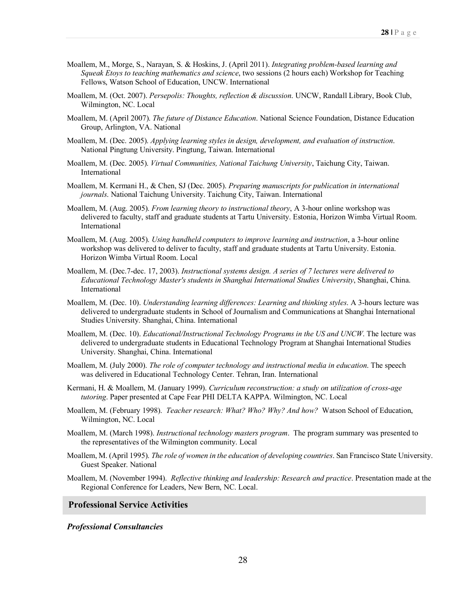- Moallem, M., Morge, S., Narayan, S. & Hoskins, J. (April 2011). *Integrating problem-based learning and Squeak Etoys to teaching mathematics and science*, two sessions (2 hours each) Workshop for Teaching Fellows, Watson School of Education, UNCW. International
- Moallem, M. (Oct. 2007). *Persepolis: Thoughts, reflection & discussion*. UNCW, Randall Library, Book Club, Wilmington, NC. Local
- Moallem, M. (April 2007). *The future of Distance Education*. National Science Foundation, Distance Education Group, Arlington, VA. National
- Moallem, M. (Dec. 2005). *Applying learning styles in design, development, and evaluation of instruction*. National Pingtung University. Pingtung, Taiwan. International
- Moallem, M. (Dec. 2005). *Virtual Communities, National Taichung University*, Taichung City, Taiwan. International
- Moallem, M. Kermani H., & Chen, SJ (Dec. 2005). *Preparing manuscripts for publication in international journals*. National Taichung University. Taichung City, Taiwan. International
- Moallem, M. (Aug. 2005). *From learning theory to instructional theory*, A 3-hour online workshop was delivered to faculty, staff and graduate students at Tartu University. Estonia, Horizon Wimba Virtual Room. International
- Moallem, M. (Aug. 2005). *Using handheld computers to improve learning and instruction*, a 3-hour online workshop was delivered to deliver to faculty, staff and graduate students at Tartu University. Estonia. Horizon Wimba Virtual Room. Local
- Moallem, M. (Dec.7-dec. 17, 2003). *Instructional systems design. A series of 7 lectures were delivered to Educational Technology Master's students in Shanghai International Studies University*, Shanghai, China. International
- Moallem, M. (Dec. 10). *Understanding learning differences: Learning and thinking styles*. A 3-hours lecture was delivered to undergraduate students in School of Journalism and Communications at Shanghai International Studies University. Shanghai, China. International
- Moallem, M. (Dec. 10). *Educational/Instructional Technology Programs in the US and UNCW*. The lecture was delivered to undergraduate students in Educational Technology Program at Shanghai International Studies University. Shanghai, China. International
- Moallem, M. (July 2000). *The role of computer technology and instructional media in education*. The speech was delivered in Educational Technology Center. Tehran, Iran. International
- Kermani, H. & Moallem, M. (January 1999). *Curriculum reconstruction: a study on utilization of cross-age tutoring*. Paper presented at Cape Fear PHI DELTA KAPPA. Wilmington, NC. Local
- Moallem, M. (February 1998). *Teacher research: What? Who? Why? And how?* Watson School of Education, Wilmington, NC. Local
- Moallem, M. (March 1998). *Instructional technology masters program*. The program summary was presented to the representatives of the Wilmington community. Local
- Moallem, M. (April 1995). *The role of women in the education of developing countries*. San Francisco State University. Guest Speaker. National
- Moallem, M. (November 1994). *Reflective thinking and leadership: Research and practice*. Presentation made at the Regional Conference for Leaders, New Bern, NC. Local.

## **Professional Service Activities**

#### *Professional Consultancies*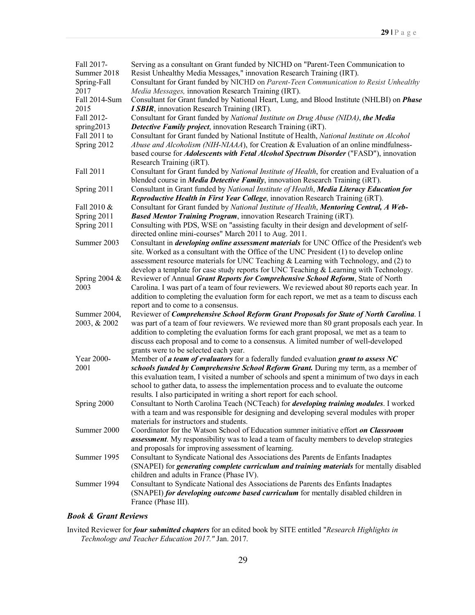| Fall 2017-    | Serving as a consultant on Grant funded by NICHD on "Parent-Teen Communication to                                                                                                          |
|---------------|--------------------------------------------------------------------------------------------------------------------------------------------------------------------------------------------|
| Summer 2018   | Resist Unhealthy Media Messages," innovation Research Training (IRT).                                                                                                                      |
| Spring-Fall   | Consultant for Grant funded by NICHD on Parent-Teen Communication to Resist Unhealthy                                                                                                      |
| 2017          | Media Messages, innovation Research Training (IRT).                                                                                                                                        |
| Fall 2014-Sum | Consultant for Grant funded by National Heart, Lung, and Blood Institute (NHLBI) on <i>Phase</i>                                                                                           |
| 2015          | <b>I SBIR</b> , innovation Research Training (IRT).                                                                                                                                        |
| Fall 2012-    | Consultant for Grant funded by National Institute on Drug Abuse (NIDA), the Media                                                                                                          |
| spring2013    | <b>Detective Family project</b> , innovation Research Training (iRT).                                                                                                                      |
| Fall 2011 to  | Consultant for Grant funded by National Institute of Health, National Institute on Alcohol                                                                                                 |
| Spring 2012   | Abuse and Alcoholism (NIH-NIAAA), for Creation & Evaluation of an online mindfulness-<br>based course for <i>Adolescents with Fetal Alcohol Spectrum Disorder</i> ("FASD"), innovation     |
|               | Research Training (iRT).                                                                                                                                                                   |
| Fall 2011     | Consultant for Grant funded by National Institute of Health, for creation and Evaluation of a                                                                                              |
|               | blended course in <i>Media Detective Family</i> , innovation Research Training (iRT).                                                                                                      |
| Spring 2011   | Consultant in Grant funded by National Institute of Health, Media Literacy Education for                                                                                                   |
|               | Reproductive Health in First Year College, innovation Research Training (iRT).                                                                                                             |
| Fall 2010 &   | Consultant for Grant funded by National Institute of Health, Mentoring Central, A Web-                                                                                                     |
| Spring 2011   | <b>Based Mentor Training Program</b> , innovation Research Training (iRT).                                                                                                                 |
| Spring 2011   | Consulting with PDS, WSE on "assisting faculty in their design and development of self-                                                                                                    |
|               | directed online mini-courses" March 2011 to Aug. 2011.                                                                                                                                     |
| Summer 2003   | Consultant in <i>developing online assessment materials</i> for UNC Office of the President's web                                                                                          |
|               | site. Worked as a consultant with the Office of the UNC President (1) to develop online                                                                                                    |
|               | assessment resource materials for UNC Teaching & Learning with Technology, and (2) to                                                                                                      |
|               | develop a template for case study reports for UNC Teaching $\&$ Learning with Technology.                                                                                                  |
| Spring 2004 & | Reviewer of Annual Grant Reports for Comprehensive School Reform, State of North                                                                                                           |
| 2003          | Carolina. I was part of a team of four reviewers. We reviewed about 80 reports each year. In                                                                                               |
|               | addition to completing the evaluation form for each report, we met as a team to discuss each                                                                                               |
|               | report and to come to a consensus.                                                                                                                                                         |
| Summer 2004,  | Reviewer of Comprehensive School Reform Grant Proposals for State of North Carolina. I                                                                                                     |
| 2003, & 2002  | was part of a team of four reviewers. We reviewed more than 80 grant proposals each year. In                                                                                               |
|               | addition to completing the evaluation forms for each grant proposal, we met as a team to                                                                                                   |
|               | discuss each proposal and to come to a consensus. A limited number of well-developed                                                                                                       |
|               | grants were to be selected each year.                                                                                                                                                      |
| Year 2000-    | Member of a team of evaluators for a federally funded evaluation grant to assess NC                                                                                                        |
| 2001          | schools funded by Comprehensive School Reform Grant. During my term, as a member of                                                                                                        |
|               | this evaluation team, I visited a number of schools and spent a minimum of two days in each                                                                                                |
|               | school to gather data, to assess the implementation process and to evaluate the outcome                                                                                                    |
|               | results. I also participated in writing a short report for each school.                                                                                                                    |
| Spring 2000   | Consultant to North Carolina Teach (NCTeach) for <i>developing training modules</i> . I worked<br>with a team and was responsible for designing and developing several modules with proper |
|               | materials for instructors and students.                                                                                                                                                    |
| Summer 2000   |                                                                                                                                                                                            |
|               | Coordinator for the Watson School of Education summer initiative effort on Classroom                                                                                                       |
|               | <b>assessment</b> . My responsibility was to lead a team of faculty members to develop strategies<br>and proposals for improving assessment of learning.                                   |
|               |                                                                                                                                                                                            |
| Summer 1995   | Consultant to Syndicate National des Associations des Parents de Enfants Inadaptes                                                                                                         |
|               | (SNAPEI) for <i>generating complete curriculum and training materials</i> for mentally disabled                                                                                            |
| Summer 1994   | children and adults in France (Phase IV).                                                                                                                                                  |
|               | Consultant to Syndicate National des Associations de Parents des Enfants Inadaptes                                                                                                         |
|               | (SNAPEI) for developing outcome based curriculum for mentally disabled children in                                                                                                         |
|               | France (Phase III).                                                                                                                                                                        |

# *Book & Grant Reviews*

Invited Reviewer for *four submitted chapters* for an edited book by SITE entitled "*Research Highlights in Technology and Teacher Education 2017."* Jan. 2017.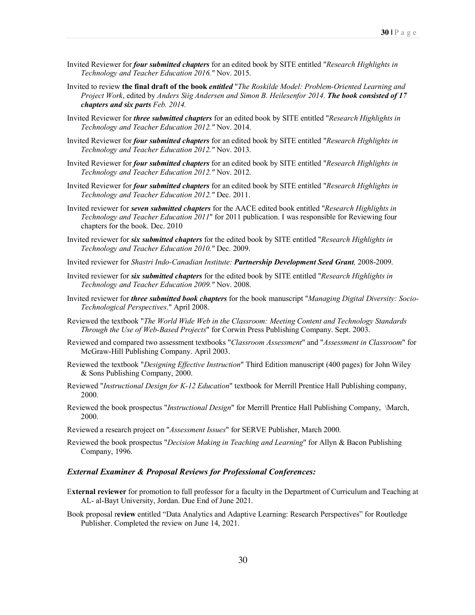- Invited Reviewer for *four submitted chapters* for an edited book by SITE entitled "*Research Highlights in Technology and Teacher Education 2016."* Nov. 2015.
- Invited to review **the final draft of the book** *entitled* "*The Roskilde Model: Problem-Oriented Learning and Project Work*, edited by *Anders Siig Andersen and Simon B. Heilesenfor 2014. The book consisted of 17 chapters and six parts Feb. 2014.*
- Invited Reviewer for *three submitted chapters* for an edited book by SITE entitled "*Research Highlights in Technology and Teacher Education 2012."* Nov. 2014.
- Invited Reviewer for *four submitted chapters* for an edited book by SITE entitled "*Research Highlights in Technology and Teacher Education 2012."* Nov. 2013.
- Invited Reviewer for *four submitted chapters* for an edited book by SITE entitled "*Research Highlights in Technology and Teacher Education 2012."* Nov. 2012.
- Invited Reviewer for *four submitted chapters* for an edited book by SITE entitled "*Research Highlights in Technology and Teacher Education 2012."* Dec. 2011.
- Invited reviewer for *seven submitted chapters* for the AACE edited book entitled "*Research Highlights in Technology and Teacher Education 2011*" for 2011 publication. I was responsible for Reviewing four chapters for the book. Dec. 2010
- Invited reviewer for *six submitted chapters* for the edited book by SITE entitled "*Research Highlights in Technology and Teacher Education 2010."* Dec. 2009.
- Invited reviewer for *Shastri Indo-Canadian Institute: Partnership Development Seed Grant,* 2008-2009.
- Invited reviewer for *six submitted chapters* for the edited book by SITE entitled "*Research Highlights in Technology and Teacher Education 2009."* Nov. 2008.
- Invited reviewer for *three submitted book chapters* for the book manuscript "*Managing Digital Diversity: Socio-Technological Perspectives*." April 2008.
- Reviewed the textbook "*The World Wide Web in the Classroom: Meeting Content and Technology Standards Through the Use of Web-Based Projects*" for Corwin Press Publishing Company. Sept. 2003.
- Reviewed and compared two assessment textbooks "*Classroom Assessment*" and "*Assessment in Classroom*" for McGraw-Hill Publishing Company. April 2003.
- Reviewed the textbook "*Designing Effective Instruction*" Third Edition manuscript (400 pages) for John Wiley & Sons Publishing Company, 2000.
- Reviewed "*Instructional Design for K-12 Education*" textbook for Merrill Prentice Hall Publishing company, 2000.
- Reviewed the book prospectus "*Instructional Design*" for Merrill Prentice Hall Publishing Company, \March, 2000.
- Reviewed a research project on "*Assessment Issues*" for SERVE Publisher, March 2000.
- Reviewed the book prospectus "*Decision Making in Teaching and Learning*" for Allyn & Bacon Publishing Company, 1996.

#### *External Examiner & Proposal Reviews for Professional Conferences:*

- E**xternal reviewer** for promotion to full professor for a faculty in the Department of Curriculum and Teaching at AL- al-Bayt University, Jordan. Due End of June 2021.
- Book proposal r**eview** entitled "Data Analytics and Adaptive Learning: Research Perspectives" for Routledge Publisher. Completed the review on June 14, 2021.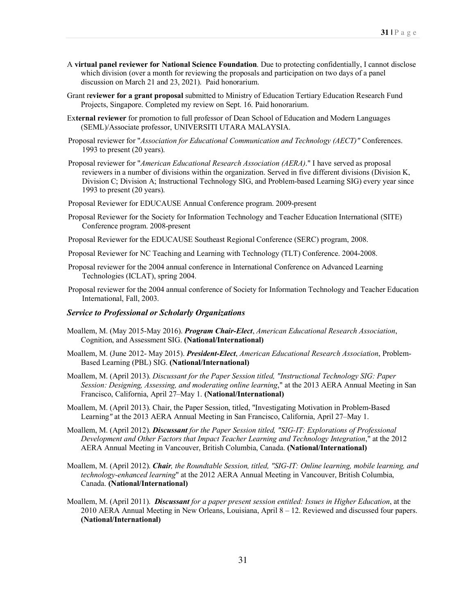- A **virtual panel reviewer for National Science Foundation**. Due to protecting confidentially, I cannot disclose which division (over a month for reviewing the proposals and participation on two days of a panel discussion on March 21 and 23, 2021). Paid honorarium.
- Grant r**eviewer for a grant proposal** submitted to Ministry of Education Tertiary Education Research Fund Projects, Singapore. Completed my review on Sept. 16. Paid honorarium.
- Ex**ternal reviewer** for promotion to full professor of Dean School of Education and Modern Languages (SEML)/Associate professor, UNIVERSITI UTARA MALAYSIA.
- Proposal reviewer for "*Association for Educational Communication and Technology (AECT)"* Conferences. 1993 to present (20 years).
- Proposal reviewer for "*American Educational Research Association (AERA)*." I have served as proposal reviewers in a number of divisions within the organization. Served in five different divisions (Division K, Division C; Division A; Instructional Technology SIG, and Problem-based Learning SIG) every year since 1993 to present (20 years).
- Proposal Reviewer for EDUCAUSE Annual Conference program. 2009-present
- Proposal Reviewer for the Society for Information Technology and Teacher Education International (SITE) Conference program. 2008-present
- Proposal Reviewer for the EDUCAUSE Southeast Regional Conference (SERC) program, 2008.
- Proposal Reviewer for NC Teaching and Learning with Technology (TLT) Conference. 2004-2008.
- Proposal reviewer for the 2004 annual conference in International Conference on Advanced Learning Technologies (ICLAT), spring 2004.
- Proposal reviewer for the 2004 annual conference of Society for Information Technology and Teacher Education International, Fall, 2003.

#### *Service to Professional or Scholarly Organizations*

- Moallem, M. (May 2015-May 2016). *Program Chair-Elect*, *American Educational Research Association*, Cognition, and Assessment SIG. **(National/International)**
- Moallem, M. (June 2012- May 2015). *President-Elect*, *American Educational Research Association*, Problem-Based Learning (PBL) SIG. **(National/International)**
- Moallem, M. (April 2013). *Discussant for the Paper Session titled, "Instructional Technology SIG: Paper Session: Designing, Assessing, and moderating online learning*," at the 2013 AERA Annual Meeting in San Francisco, California, April 27–May 1. **(National/International)**
- Moallem, M. (April 2013). Chair, the Paper Session, titled, "Investigating Motivation in Problem-Based Learning*"* at the 2013 AERA Annual Meeting in San Francisco, California, April 27–May 1.
- Moallem, M. (April 2012). *Discussant for the Paper Session titled, "SIG-IT: Explorations of Professional Development and Other Factors that Impact Teacher Learning and Technology Integration*," at the 2012 AERA Annual Meeting in Vancouver, British Columbia, Canada. **(National/International)**
- Moallem, M. (April 2012). *Chair, the Roundtable Session, titled, "SIG-IT: Online learning, mobile learning, and technology-enhanced learning*" at the 2012 AERA Annual Meeting in Vancouver, British Columbia, Canada. **(National/International)**
- Moallem, M. (April 2011). *Discussant for a paper present session entitled: Issues in Higher Education*, at the 2010 AERA Annual Meeting in New Orleans, Louisiana, April 8 – 12. Reviewed and discussed four papers. **(National/International)**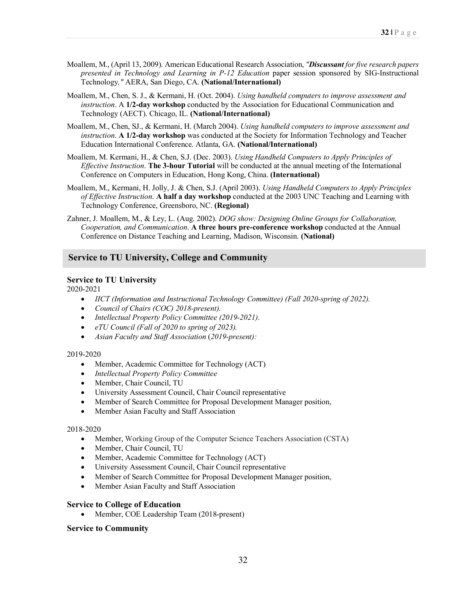- Moallem, M., (April 13, 2009). American Educational Research Association, *"Discussant for five research papers presented in Technology and Learning in P-12 Education* paper session sponsored by SIG-Instructional Technology*,"* AERA, San Diego, CA. **(National/International)**
- Moallem, M., Chen, S. J., & Kermani, H. (Oct. 2004). *Using handheld computers to improve assessment and instruction*. A **1/2-day workshop** conducted by the Association for Educational Communication and Technology (AECT). Chicago, IL. **(National/International)**
- Moallem, M., Chen, SJ., & Kermani, H. (March 2004). *Using handheld computers to improve assessment and instruction*. **A 1/2-day workshop** was conducted at the Society for Information Technology and Teacher Education International Conference. Atlanta, GA. **(National/International)**
- Moallem, M. Kermani, H., & Chen, S.J. (Dec. 2003). *Using Handheld Computers to Apply Principles of Effective Instruction*. **The 3-hour Tutorial** will be conducted at the annual meeting of the International Conference on Computers in Education, Hong Kong, China. **(International)**
- Moallem, M., Kermani, H. Jolly, J. & Chen, S.J. (April 2003). *Using Handheld Computers to Apply Principles of Effective Instruction*. **A half a day workshop** conducted at the 2003 UNC Teaching and Learning with Technology Conference, Greensboro, NC. **(Regional)**
- Zahner, J. Moallem, M., & Ley, L. (Aug. 2002). *DOG show: Designing Online Groups for Collaboration, Cooperation, and Communication*. **A three hours pre-conference workshop** conducted at the Annual Conference on Distance Teaching and Learning, Madison, Wisconsin. **(National)**

## **Service to TU University, College and Community**

#### **Service to TU University**

2020-2021

- *IICT (Information and Instructional Technology Committee) (Fall 2020-spring of 2022).*
- *Council of Chairs (COC) 2018-present).*
- *Intellectual Property Policy Committee (2019-2021)*.
- *eTU Council (Fall of 2020 to spring of 2023).*
- *Asian Faculty and Staff Association* (*2019-present):*

#### 2019-2020

- Member, Academic Committee for Technology (ACT)
- *Intellectual Property Policy Committee*
- Member, Chair Council, TU
- University Assessment Council, Chair Council representative
- Member of Search Committee for Proposal Development Manager position,
- Member Asian Faculty and Staff Association

#### 2018-2020

- Member, Working Group of the Computer Science Teachers Association (CSTA)
- Member, Chair Council, TU
- Member, Academic Committee for Technology (ACT)
- University Assessment Council, Chair Council representative
- Member of Search Committee for Proposal Development Manager position,
- Member Asian Faculty and Staff Association

#### **Service to College of Education**

• Member, COE Leadership Team (2018-present)

#### **Service to Community**